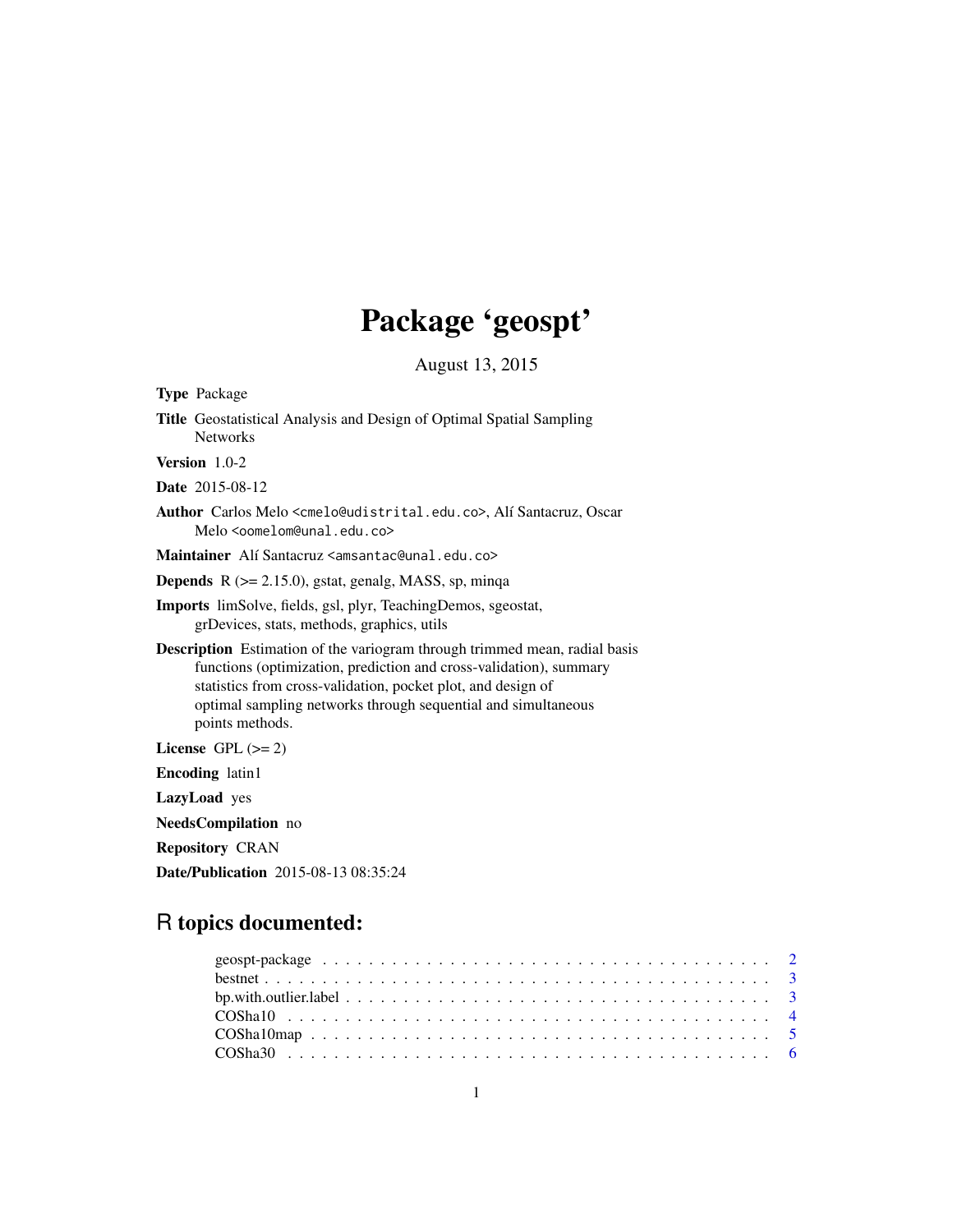# Package 'geospt'

August 13, 2015

<span id="page-0-0"></span>

| <b>Type Package</b>                                                                                                                                                                                                                                                                                         |
|-------------------------------------------------------------------------------------------------------------------------------------------------------------------------------------------------------------------------------------------------------------------------------------------------------------|
| <b>Title</b> Geostatistical Analysis and Design of Optimal Spatial Sampling<br><b>Networks</b>                                                                                                                                                                                                              |
| Version $1.0-2$                                                                                                                                                                                                                                                                                             |
| <b>Date</b> 2015-08-12                                                                                                                                                                                                                                                                                      |
| Author Carlos Melo <cmelo@udistrital.edu.co>, Alí Santacruz, Oscar<br/>Melo <oomelom@unal.edu.co></oomelom@unal.edu.co></cmelo@udistrital.edu.co>                                                                                                                                                           |
| Maintainer Alí Santacruz <amsantac@unal.edu.co></amsantac@unal.edu.co>                                                                                                                                                                                                                                      |
| <b>Depends</b> $R$ ( $>= 2.15.0$ ), gstat, genalg, MASS, sp, minqa                                                                                                                                                                                                                                          |
| Imports limSolve, fields, gsl, plyr, TeachingDemos, sgeostat,<br>grDevices, stats, methods, graphics, utils                                                                                                                                                                                                 |
| <b>Description</b> Estimation of the variogram through trimmed mean, radial basis<br>functions (optimization, prediction and cross-validation), summary<br>statistics from cross-validation, pocket plot, and design of<br>optimal sampling networks through sequential and simultaneous<br>points methods. |
| License GPL $(>= 2)$                                                                                                                                                                                                                                                                                        |
| <b>Encoding</b> latin1                                                                                                                                                                                                                                                                                      |
| LazyLoad yes                                                                                                                                                                                                                                                                                                |
| NeedsCompilation no                                                                                                                                                                                                                                                                                         |
| <b>Repository CRAN</b>                                                                                                                                                                                                                                                                                      |
| <b>Date/Publication</b> 2015-08-13 08:35:24                                                                                                                                                                                                                                                                 |
|                                                                                                                                                                                                                                                                                                             |

# R topics documented: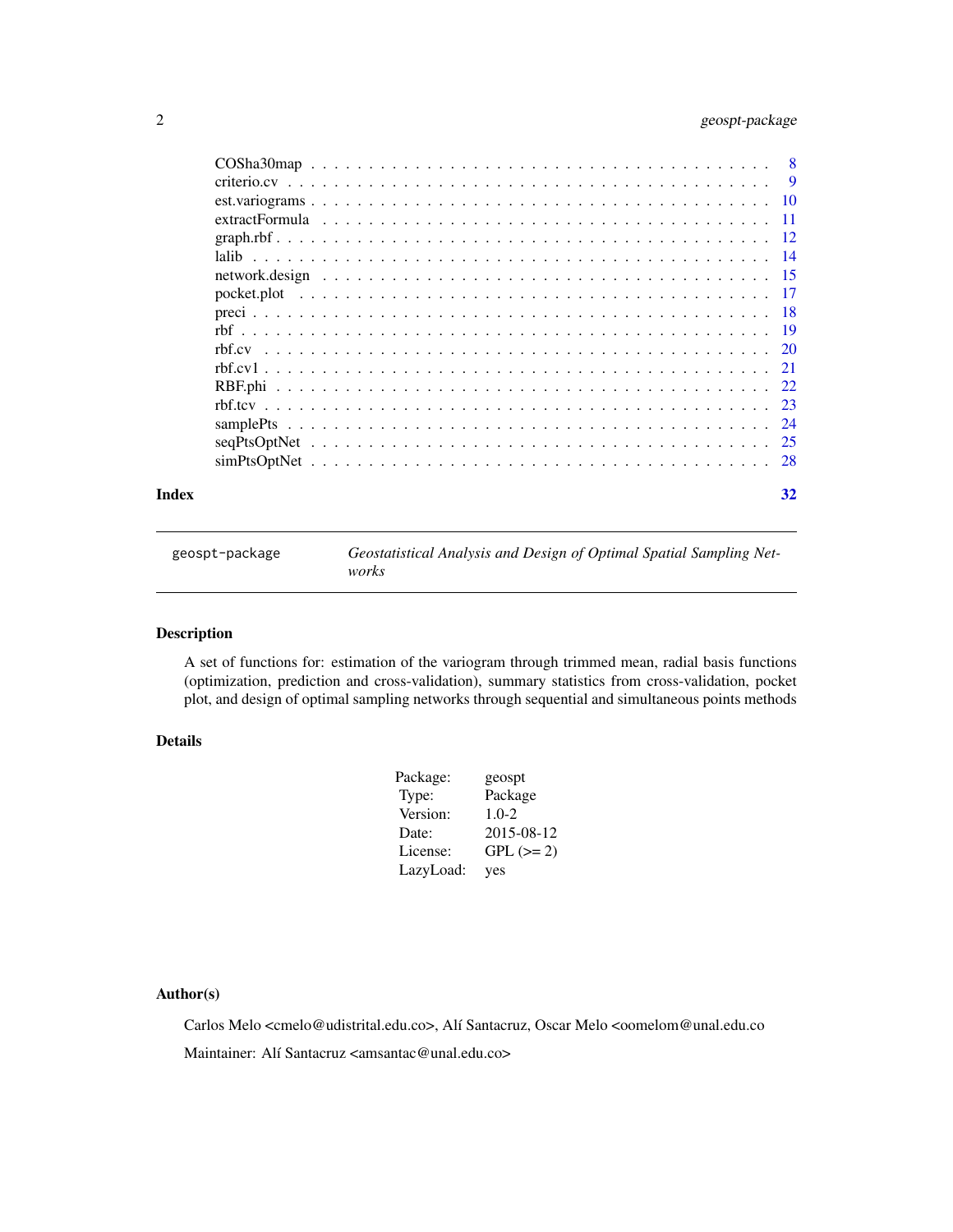# <span id="page-1-0"></span>2 geospt-package

| Index |  |  |  |  |  |  |  |  |  |  |  |  |  |  |  |  | 32 |
|-------|--|--|--|--|--|--|--|--|--|--|--|--|--|--|--|--|----|

geospt-package *Geostatistical Analysis and Design of Optimal Spatial Sampling Networks*

# Description

A set of functions for: estimation of the variogram through trimmed mean, radial basis functions (optimization, prediction and cross-validation), summary statistics from cross-validation, pocket plot, and design of optimal sampling networks through sequential and simultaneous points methods

# Details

| Package:  | geospt     |
|-----------|------------|
| Type:     | Package    |
| Version:  | $1.0 - 2$  |
| Date:     | 2015-08-12 |
| License:  | $GPL (=2)$ |
| LazyLoad: | yes        |

# Author(s)

Carlos Melo <cmelo@udistrital.edu.co>, Alí Santacruz, Oscar Melo <oomelom@unal.edu.co Maintainer: Alí Santacruz <amsantac@unal.edu.co>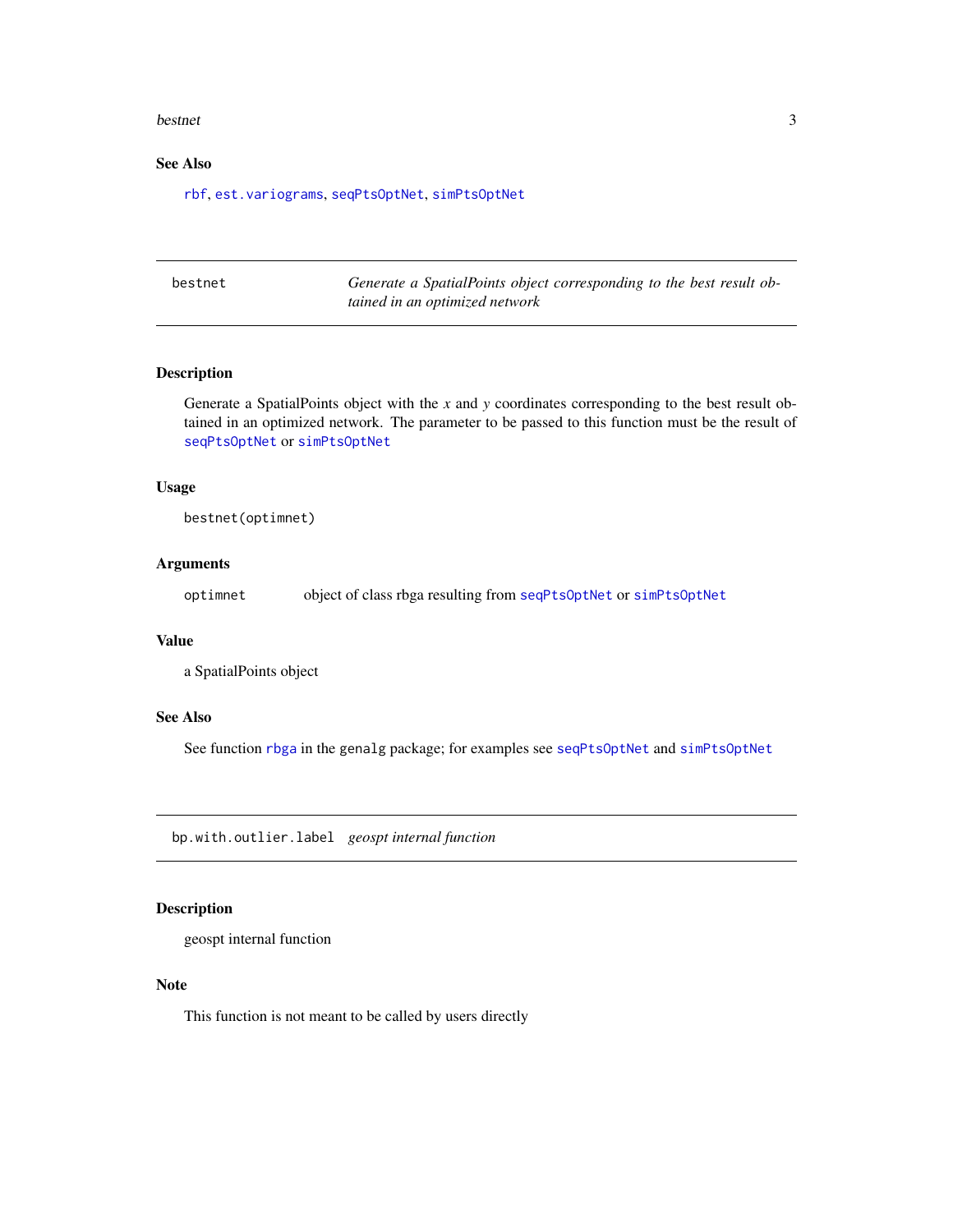#### <span id="page-2-0"></span>bestnet 3

# See Also

[rbf](#page-18-1), [est.variograms](#page-9-1), [seqPtsOptNet](#page-24-1), [simPtsOptNet](#page-27-1)

bestnet *Generate a SpatialPoints object corresponding to the best result obtained in an optimized network*

#### Description

Generate a SpatialPoints object with the *x* and *y* coordinates corresponding to the best result obtained in an optimized network. The parameter to be passed to this function must be the result of [seqPtsOptNet](#page-24-1) or [simPtsOptNet](#page-27-1)

#### Usage

bestnet(optimnet)

# Arguments

optimnet object of class rbga resulting from [seqPtsOptNet](#page-24-1) or [simPtsOptNet](#page-27-1)

#### Value

a SpatialPoints object

# See Also

See function [rbga](#page-0-0) in the genalg package; for examples see [seqPtsOptNet](#page-24-1) and [simPtsOptNet](#page-27-1)

bp.with.outlier.label *geospt internal function*

# Description

geospt internal function

# Note

This function is not meant to be called by users directly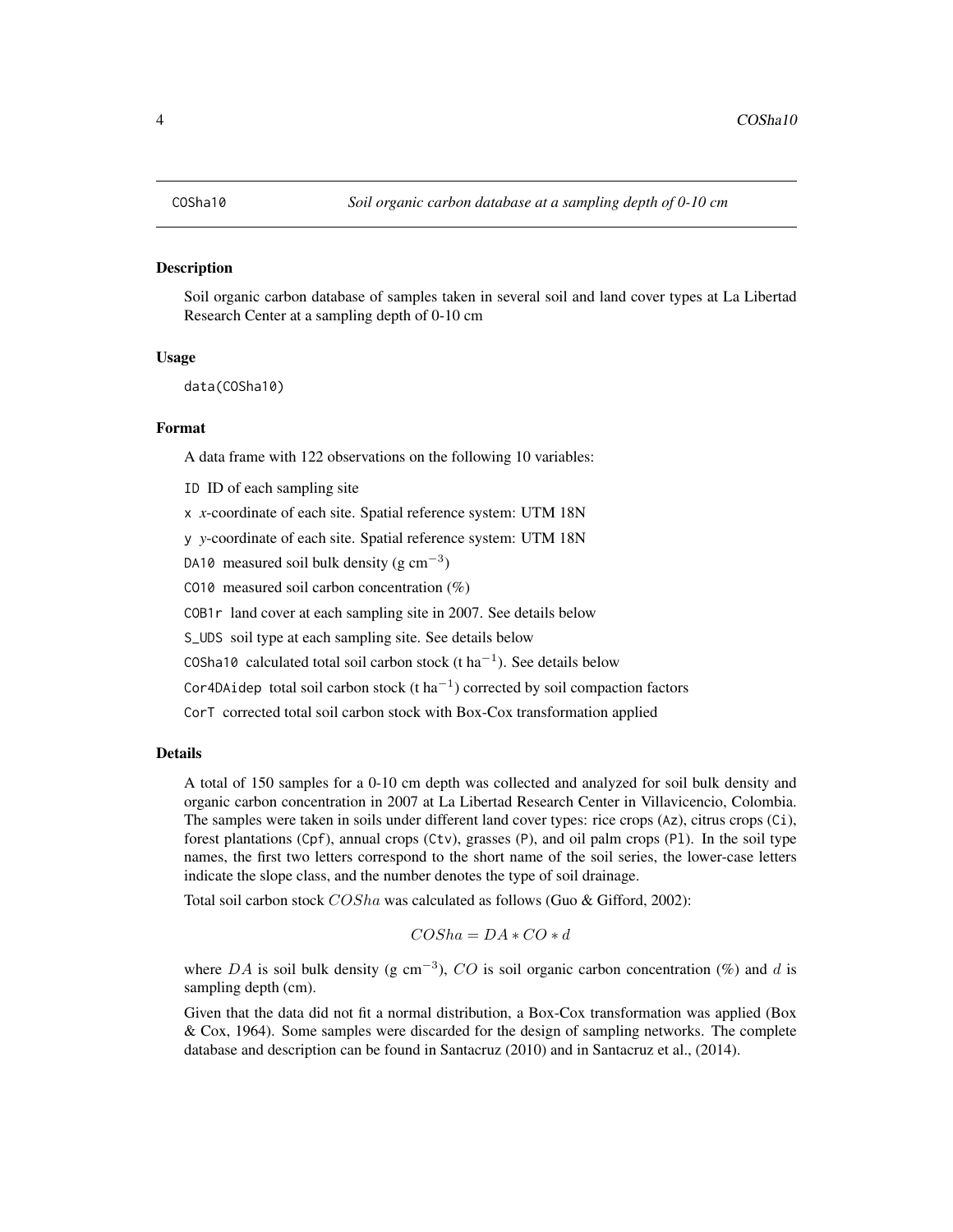#### <span id="page-3-1"></span><span id="page-3-0"></span>Description

Soil organic carbon database of samples taken in several soil and land cover types at La Libertad Research Center at a sampling depth of 0-10 cm

### Usage

data(COSha10)

# Format

A data frame with 122 observations on the following 10 variables:

ID ID of each sampling site

x *x*-coordinate of each site. Spatial reference system: UTM 18N

y *y*-coordinate of each site. Spatial reference system: UTM 18N

DA10 measured soil bulk density  $(g \text{ cm}^{-3})$ 

CO10 measured soil carbon concentration  $(\%)$ 

COB1r land cover at each sampling site in 2007. See details below

S\_UDS soil type at each sampling site. See details below

COSha10 calculated total soil carbon stock (t ha<sup>-1</sup>). See details below

Cor4DAidep total soil carbon stock  $(t \, ha^{-1})$  corrected by soil compaction factors

CorT corrected total soil carbon stock with Box-Cox transformation applied

# Details

A total of 150 samples for a 0-10 cm depth was collected and analyzed for soil bulk density and organic carbon concentration in 2007 at La Libertad Research Center in Villavicencio, Colombia. The samples were taken in soils under different land cover types: rice crops (Az), citrus crops (Ci), forest plantations (Cpf), annual crops (Ctv), grasses (P), and oil palm crops (Pl). In the soil type names, the first two letters correspond to the short name of the soil series, the lower-case letters indicate the slope class, and the number denotes the type of soil drainage.

Total soil carbon stock  $COSha$  was calculated as follows (Guo & Gifford, 2002):

$$
COSha = DA * CO * d
$$

where DA is soil bulk density (g cm<sup>-3</sup>), CO is soil organic carbon concentration (%) and d is sampling depth (cm).

Given that the data did not fit a normal distribution, a Box-Cox transformation was applied (Box & Cox, 1964). Some samples were discarded for the design of sampling networks. The complete database and description can be found in Santacruz (2010) and in Santacruz et al., (2014).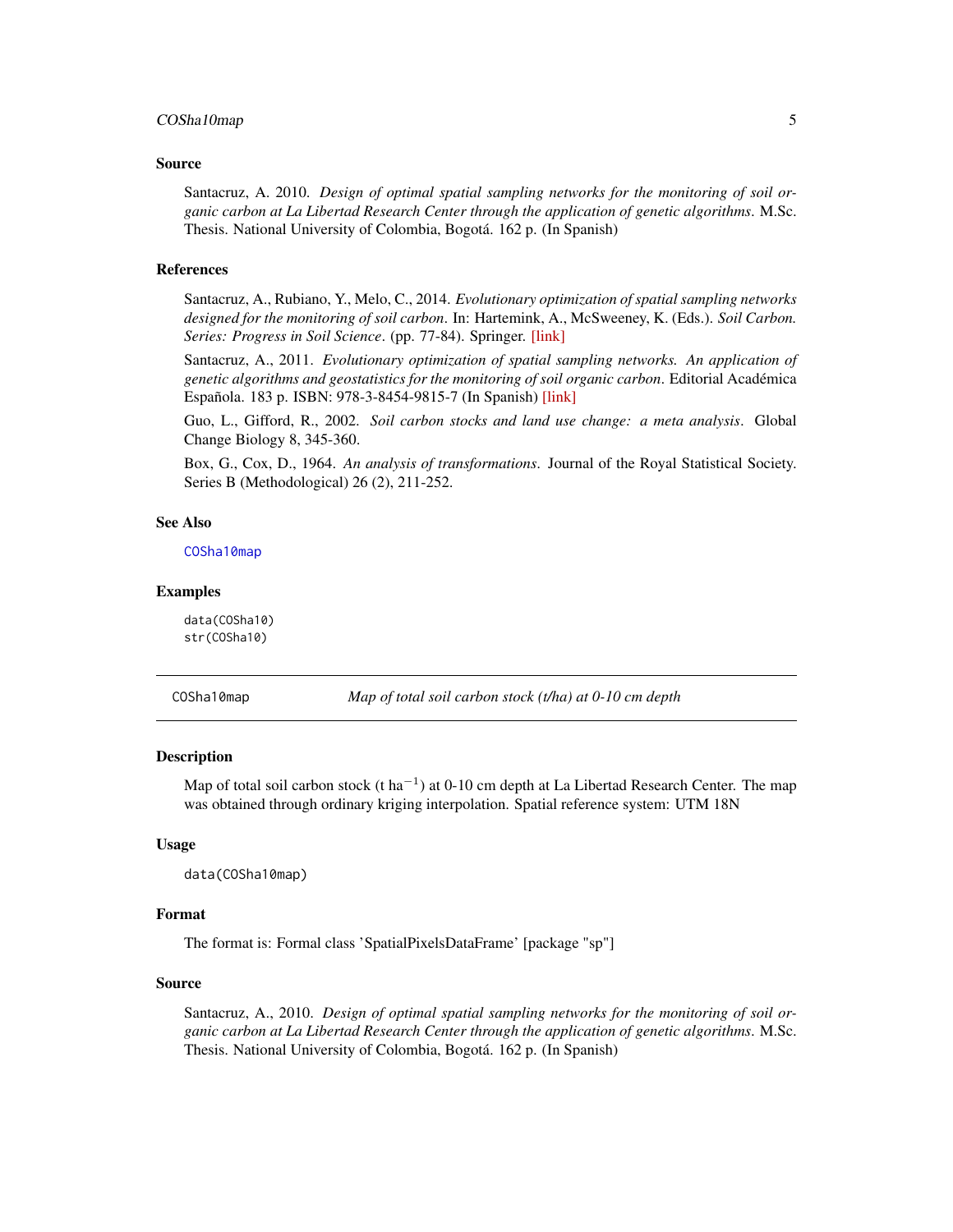# <span id="page-4-0"></span>COSha10map 5

#### Source

Santacruz, A. 2010. *Design of optimal spatial sampling networks for the monitoring of soil organic carbon at La Libertad Research Center through the application of genetic algorithms*. M.Sc. Thesis. National University of Colombia, Bogotá. 162 p. (In Spanish)

#### References

Santacruz, A., Rubiano, Y., Melo, C., 2014. *Evolutionary optimization of spatial sampling networks designed for the monitoring of soil carbon*. In: Hartemink, A., McSweeney, K. (Eds.). *Soil Carbon. Series: Progress in Soil Science*. (pp. 77-84). Springer. [\[link\]](http://link.springer.com/chapter/10.1007/978-3-319-04084-4_8)

Santacruz, A., 2011. *Evolutionary optimization of spatial sampling networks. An application of genetic algorithms and geostatistics for the monitoring of soil organic carbon*. Editorial Académica Española. 183 p. ISBN: 978-3-8454-9815-7 (In Spanish) [\[link\]](http://www.amazon.com/Optimizaci�n-evolutiva-redes-espaciales-muestreo/dp/3845498153/)

Guo, L., Gifford, R., 2002. *Soil carbon stocks and land use change: a meta analysis*. Global Change Biology 8, 345-360.

Box, G., Cox, D., 1964. *An analysis of transformations*. Journal of the Royal Statistical Society. Series B (Methodological) 26 (2), 211-252.

#### See Also

[COSha10map](#page-4-1)

#### Examples

data(COSha10) str(COSha10)

<span id="page-4-1"></span>COSha10map *Map of total soil carbon stock (t/ha) at 0-10 cm depth*

# Description

Map of total soil carbon stock (t ha<sup>-1</sup>) at 0-10 cm depth at La Libertad Research Center. The map was obtained through ordinary kriging interpolation. Spatial reference system: UTM 18N

# Usage

data(COSha10map)

#### Format

The format is: Formal class 'SpatialPixelsDataFrame' [package "sp"]

#### Source

Santacruz, A., 2010. *Design of optimal spatial sampling networks for the monitoring of soil organic carbon at La Libertad Research Center through the application of genetic algorithms*. M.Sc. Thesis. National University of Colombia, Bogotá. 162 p. (In Spanish)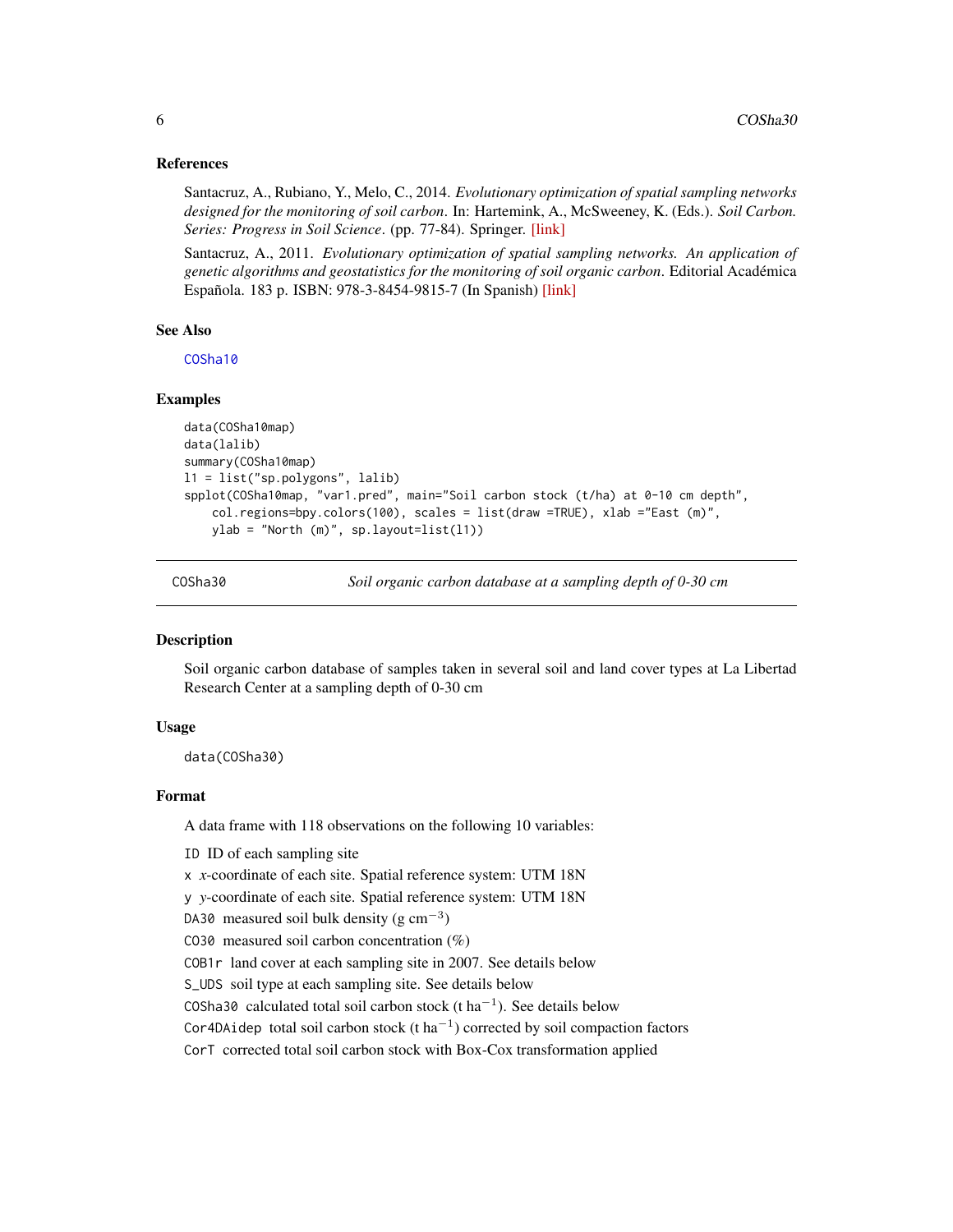#### <span id="page-5-0"></span>References

Santacruz, A., Rubiano, Y., Melo, C., 2014. *Evolutionary optimization of spatial sampling networks designed for the monitoring of soil carbon*. In: Hartemink, A., McSweeney, K. (Eds.). *Soil Carbon. Series: Progress in Soil Science*. (pp. 77-84). Springer. [\[link\]](http://link.springer.com/chapter/10.1007/978-3-319-04084-4_8)

Santacruz, A., 2011. *Evolutionary optimization of spatial sampling networks. An application of genetic algorithms and geostatistics for the monitoring of soil organic carbon*. Editorial Académica Española. 183 p. ISBN: 978-3-8454-9815-7 (In Spanish) [\[link\]](http://www.amazon.com/Optimizaci�n-evolutiva-redes-espaciales-muestreo/dp/3845498153/)

#### See Also

[COSha10](#page-3-1)

# Examples

```
data(COSha10map)
data(lalib)
summary(COSha10map)
l1 = list("sp.polygons", lalib)
spplot(COSha10map, "var1.pred", main="Soil carbon stock (t/ha) at 0-10 cm depth",
    col.regions=bpy.colors(100), scales = list(draw =TRUE), xlab ="East (m)",
   ylab = "North (m)", sp.layout=list(l1))
```
<span id="page-5-1"></span>

COSha30 *Soil organic carbon database at a sampling depth of 0-30 cm*

#### Description

Soil organic carbon database of samples taken in several soil and land cover types at La Libertad Research Center at a sampling depth of 0-30 cm

## Usage

data(COSha30)

#### Format

A data frame with 118 observations on the following 10 variables:

ID ID of each sampling site

x *x*-coordinate of each site. Spatial reference system: UTM 18N

y *y*-coordinate of each site. Spatial reference system: UTM 18N

DA30 measured soil bulk density  $(g \text{ cm}^{-3})$ 

CO30 measured soil carbon concentration  $(\%)$ 

COB1r land cover at each sampling site in 2007. See details below

S\_UDS soil type at each sampling site. See details below

COSha30 calculated total soil carbon stock (t ha<sup>-1</sup>). See details below

Cor4DAidep total soil carbon stock  $(t \, ha^{-1})$  corrected by soil compaction factors

CorT corrected total soil carbon stock with Box-Cox transformation applied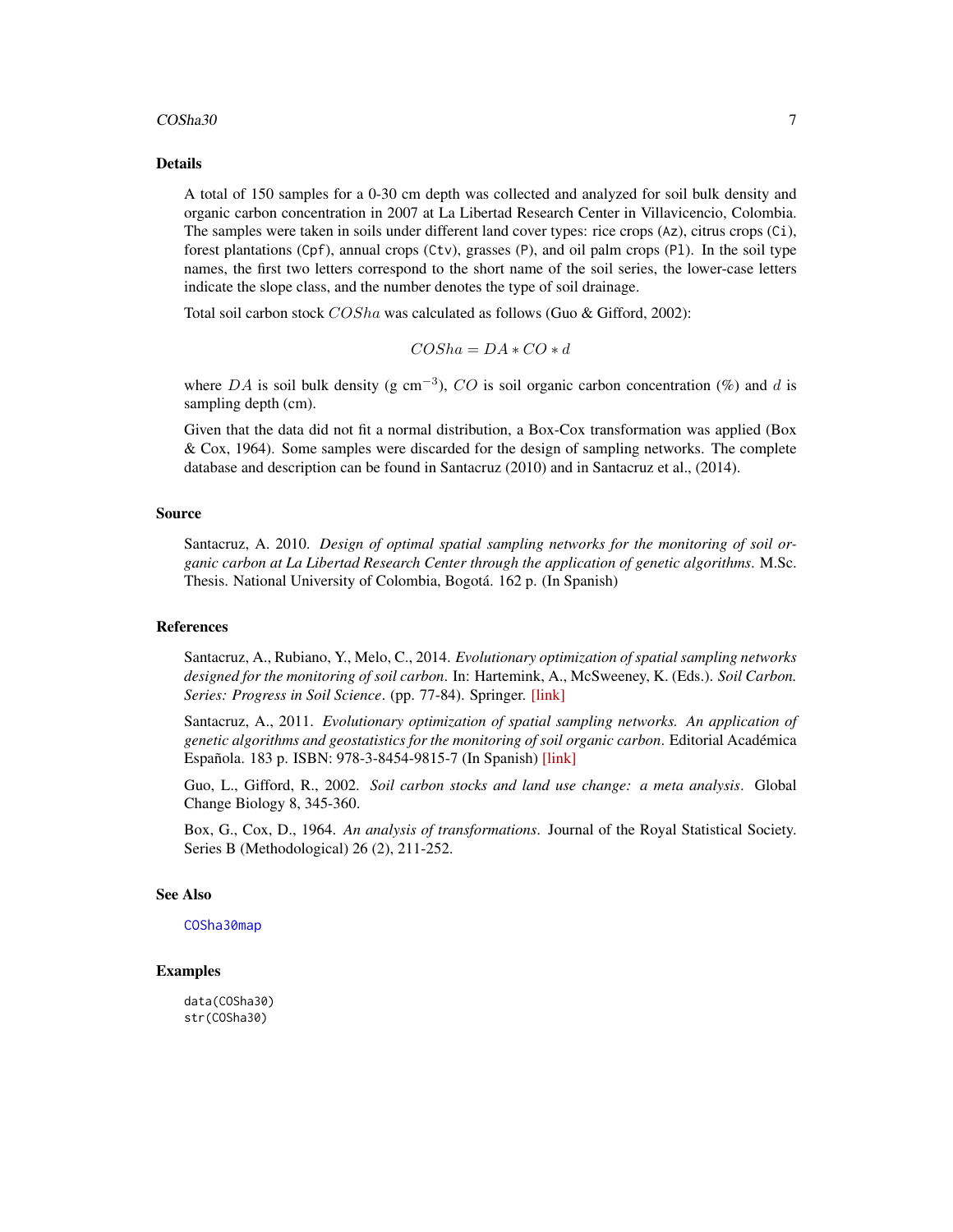#### <span id="page-6-0"></span> $\cosha30$  7

#### Details

A total of 150 samples for a 0-30 cm depth was collected and analyzed for soil bulk density and organic carbon concentration in 2007 at La Libertad Research Center in Villavicencio, Colombia. The samples were taken in soils under different land cover types: rice crops (Az), citrus crops (Ci), forest plantations (Cpf), annual crops (Ctv), grasses (P), and oil palm crops (Pl). In the soil type names, the first two letters correspond to the short name of the soil series, the lower-case letters indicate the slope class, and the number denotes the type of soil drainage.

Total soil carbon stock  $COSha$  was calculated as follows (Guo & Gifford, 2002):

$$
COSha = DA * CO * d
$$

where DA is soil bulk density (g cm<sup>-3</sup>), CO is soil organic carbon concentration (%) and d is sampling depth (cm).

Given that the data did not fit a normal distribution, a Box-Cox transformation was applied (Box & Cox, 1964). Some samples were discarded for the design of sampling networks. The complete database and description can be found in Santacruz (2010) and in Santacruz et al., (2014).

#### Source

Santacruz, A. 2010. *Design of optimal spatial sampling networks for the monitoring of soil organic carbon at La Libertad Research Center through the application of genetic algorithms*. M.Sc. Thesis. National University of Colombia, Bogotá. 162 p. (In Spanish)

#### References

Santacruz, A., Rubiano, Y., Melo, C., 2014. *Evolutionary optimization of spatial sampling networks designed for the monitoring of soil carbon*. In: Hartemink, A., McSweeney, K. (Eds.). *Soil Carbon. Series: Progress in Soil Science*. (pp. 77-84). Springer. [\[link\]](http://link.springer.com/chapter/10.1007/978-3-319-04084-4_8)

Santacruz, A., 2011. *Evolutionary optimization of spatial sampling networks. An application of genetic algorithms and geostatistics for the monitoring of soil organic carbon*. Editorial Académica Española. 183 p. ISBN: 978-3-8454-9815-7 (In Spanish) [\[link\]](http://www.amazon.com/Optimizaci�n-evolutiva-redes-espaciales-muestreo/dp/3845498153/)

Guo, L., Gifford, R., 2002. *Soil carbon stocks and land use change: a meta analysis*. Global Change Biology 8, 345-360.

Box, G., Cox, D., 1964. *An analysis of transformations*. Journal of the Royal Statistical Society. Series B (Methodological) 26 (2), 211-252.

#### See Also

[COSha30map](#page-7-1)

#### Examples

data(COSha30) str(COSha30)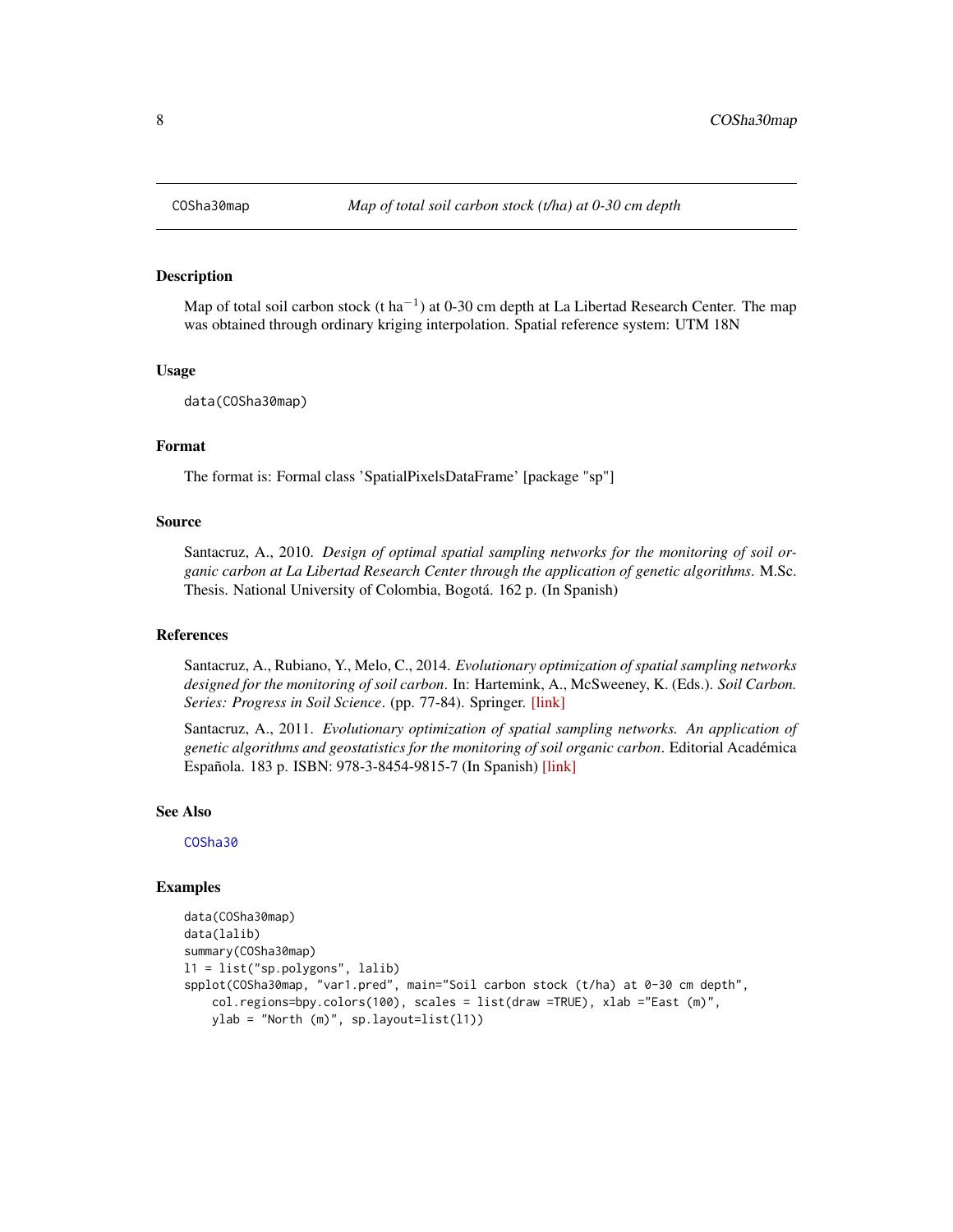<span id="page-7-1"></span><span id="page-7-0"></span>

#### **Description**

Map of total soil carbon stock (t ha<sup>-1</sup>) at 0-30 cm depth at La Libertad Research Center. The map was obtained through ordinary kriging interpolation. Spatial reference system: UTM 18N

#### Usage

data(COSha30map)

# Format

The format is: Formal class 'SpatialPixelsDataFrame' [package "sp"]

# Source

Santacruz, A., 2010. *Design of optimal spatial sampling networks for the monitoring of soil organic carbon at La Libertad Research Center through the application of genetic algorithms*. M.Sc. Thesis. National University of Colombia, Bogotá. 162 p. (In Spanish)

#### References

Santacruz, A., Rubiano, Y., Melo, C., 2014. *Evolutionary optimization of spatial sampling networks designed for the monitoring of soil carbon*. In: Hartemink, A., McSweeney, K. (Eds.). *Soil Carbon. Series: Progress in Soil Science*. (pp. 77-84). Springer. [\[link\]](http://link.springer.com/chapter/10.1007/978-3-319-04084-4_8)

Santacruz, A., 2011. *Evolutionary optimization of spatial sampling networks. An application of genetic algorithms and geostatistics for the monitoring of soil organic carbon*. Editorial Académica Española. 183 p. ISBN: 978-3-8454-9815-7 (In Spanish) [\[link\]](http://www.amazon.com/Optimizaci�n-evolutiva-redes-espaciales-muestreo/dp/3845498153/)

#### See Also

[COSha30](#page-5-1)

```
data(COSha30map)
data(lalib)
summary(COSha30map)
l1 = list("sp.polygons", lalib)
spplot(COSha30map, "var1.pred", main="Soil carbon stock (t/ha) at 0-30 cm depth",
    col.regions=bpy.colors(100), scales = list(draw =TRUE), xlab ="East (m)",
   ylab = "North (m)", sp.layout=list(l1))
```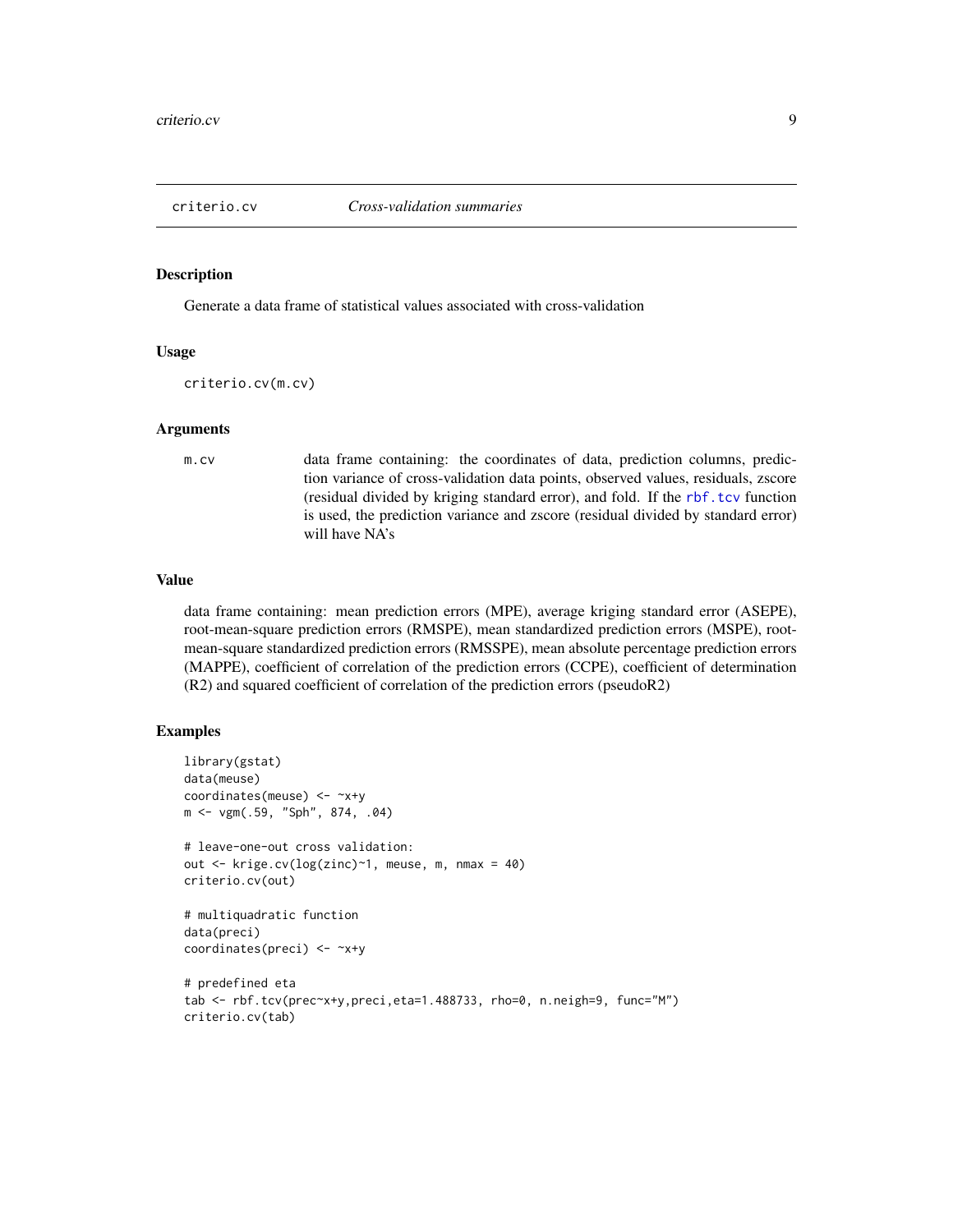<span id="page-8-0"></span>

#### Description

Generate a data frame of statistical values associated with cross-validation

#### Usage

criterio.cv(m.cv)

#### Arguments

m.cv data frame containing: the coordinates of data, prediction columns, prediction variance of cross-validation data points, observed values, residuals, zscore (residual divided by kriging standard error), and fold. If the [rbf.tcv](#page-22-1) function is used, the prediction variance and zscore (residual divided by standard error) will have NA's

#### Value

data frame containing: mean prediction errors (MPE), average kriging standard error (ASEPE), root-mean-square prediction errors (RMSPE), mean standardized prediction errors (MSPE), rootmean-square standardized prediction errors (RMSSPE), mean absolute percentage prediction errors (MAPPE), coefficient of correlation of the prediction errors (CCPE), coefficient of determination (R2) and squared coefficient of correlation of the prediction errors (pseudoR2)

```
library(gstat)
data(meuse)
coordinates(meuse) <- ~x+y
m <- vgm(.59, "Sph", 874, .04)
# leave-one-out cross validation:
out <- krige.cv(log(zinc)~1, meuse, m, nmax = 40)
criterio.cv(out)
# multiquadratic function
data(preci)
coordinates(preci) <- ~x+y
# predefined eta
tab <- rbf.tcv(prec~x+y,preci,eta=1.488733, rho=0, n.neigh=9, func="M")
criterio.cv(tab)
```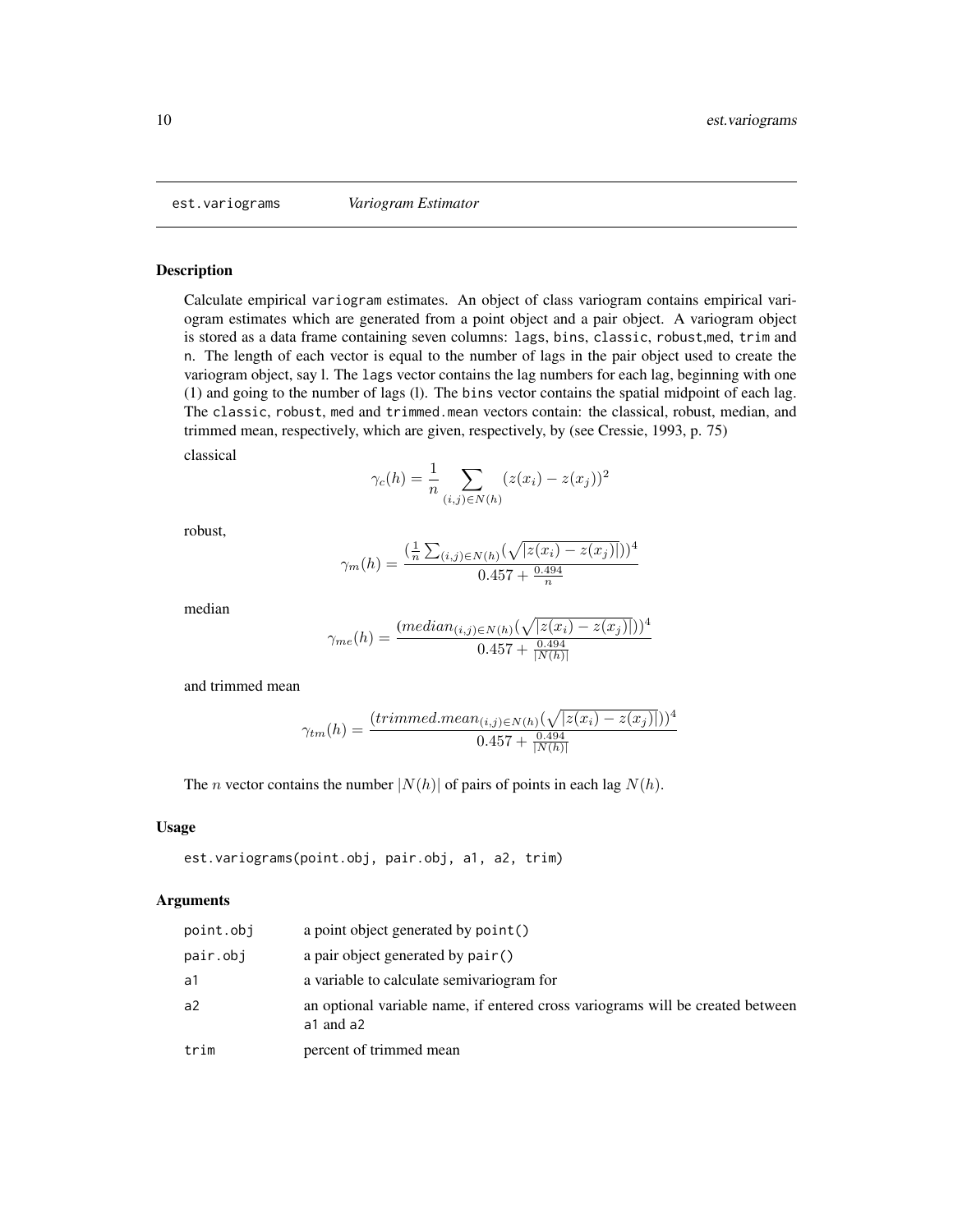<span id="page-9-1"></span><span id="page-9-0"></span>est.variograms *Variogram Estimator*

#### Description

Calculate empirical variogram estimates. An object of class variogram contains empirical variogram estimates which are generated from a point object and a pair object. A variogram object is stored as a data frame containing seven columns: lags, bins, classic, robust,med, trim and n. The length of each vector is equal to the number of lags in the pair object used to create the variogram object, say l. The lags vector contains the lag numbers for each lag, beginning with one (1) and going to the number of lags (l). The bins vector contains the spatial midpoint of each lag. The classic, robust, med and trimmed.mean vectors contain: the classical, robust, median, and trimmed mean, respectively, which are given, respectively, by (see Cressie, 1993, p. 75)

classical

$$
\gamma_c(h) = \frac{1}{n} \sum_{(i,j) \in N(h)} (z(x_i) - z(x_j))^2
$$

robust,

$$
\gamma_m(h) = \frac{\left(\frac{1}{n}\sum_{(i,j)\in N(h)}(\sqrt{|z(x_i) - z(x_j)|})\right)^4}{0.457 + \frac{0.494}{n}}
$$

median

$$
\gamma_{me}(h) = \frac{(median_{(i,j)\in N(h)}(\sqrt{|z(x_i) - z(x_j)|}))^4}{0.457 + \frac{0.494}{|N(h)|}}
$$

and trimmed mean

$$
\gamma_{tm}(h) = \frac{(trimmed. mean_{(i,j) \in N(h)}(\sqrt{|z(x_i) - z(x_j)|}))^4}{0.457 + \frac{0.494}{|N(h)|}}
$$

The *n* vector contains the number  $|N(h)|$  of pairs of points in each lag  $N(h)$ .

#### Usage

```
est.variograms(point.obj, pair.obj, a1, a2, trim)
```
# Arguments

| point.obj | a point object generated by point ()                                                        |
|-----------|---------------------------------------------------------------------------------------------|
| pair.obj  | a pair object generated by pair()                                                           |
| a1        | a variable to calculate semivariogram for                                                   |
| a2        | an optional variable name, if entered cross variograms will be created between<br>a1 and a2 |
| trim      | percent of trimmed mean                                                                     |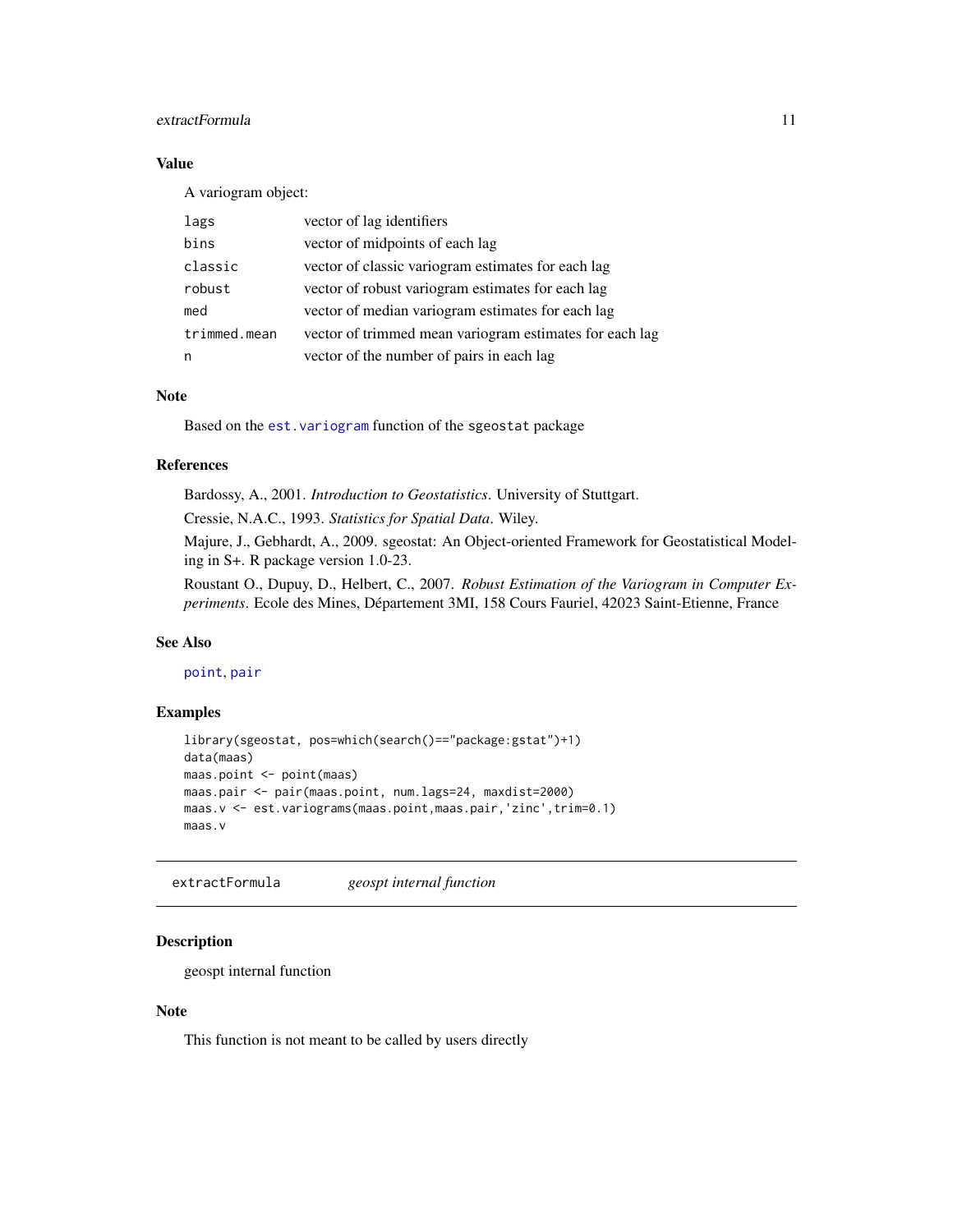# <span id="page-10-0"></span>extractFormula 11

# Value

A variogram object:

| lags         | vector of lag identifiers                               |
|--------------|---------------------------------------------------------|
| bins         | vector of midpoints of each lag                         |
| classic      | vector of classic variogram estimates for each lag      |
| robust       | vector of robust variogram estimates for each lag       |
| med          | vector of median variogram estimates for each lag       |
| trimmed.mean | vector of trimmed mean variogram estimates for each lag |
| n            | vector of the number of pairs in each lag               |

# Note

Based on the [est.variogram](#page-0-0) function of the sgeostat package

# References

Bardossy, A., 2001. *Introduction to Geostatistics*. University of Stuttgart.

Cressie, N.A.C., 1993. *Statistics for Spatial Data*. Wiley.

Majure, J., Gebhardt, A., 2009. sgeostat: An Object-oriented Framework for Geostatistical Modeling in S+. R package version 1.0-23.

Roustant O., Dupuy, D., Helbert, C., 2007. *Robust Estimation of the Variogram in Computer Experiments*. Ecole des Mines, Département 3MI, 158 Cours Fauriel, 42023 Saint-Etienne, France

# See Also

#### [point](#page-0-0), [pair](#page-0-0)

#### Examples

```
library(sgeostat, pos=which(search()=="package:gstat")+1)
data(maas)
maas.point <- point(maas)
maas.pair <- pair(maas.point, num.lags=24, maxdist=2000)
maas.v <- est.variograms(maas.point,maas.pair,'zinc',trim=0.1)
maas.v
```
extractFormula *geospt internal function*

# Description

geospt internal function

# Note

This function is not meant to be called by users directly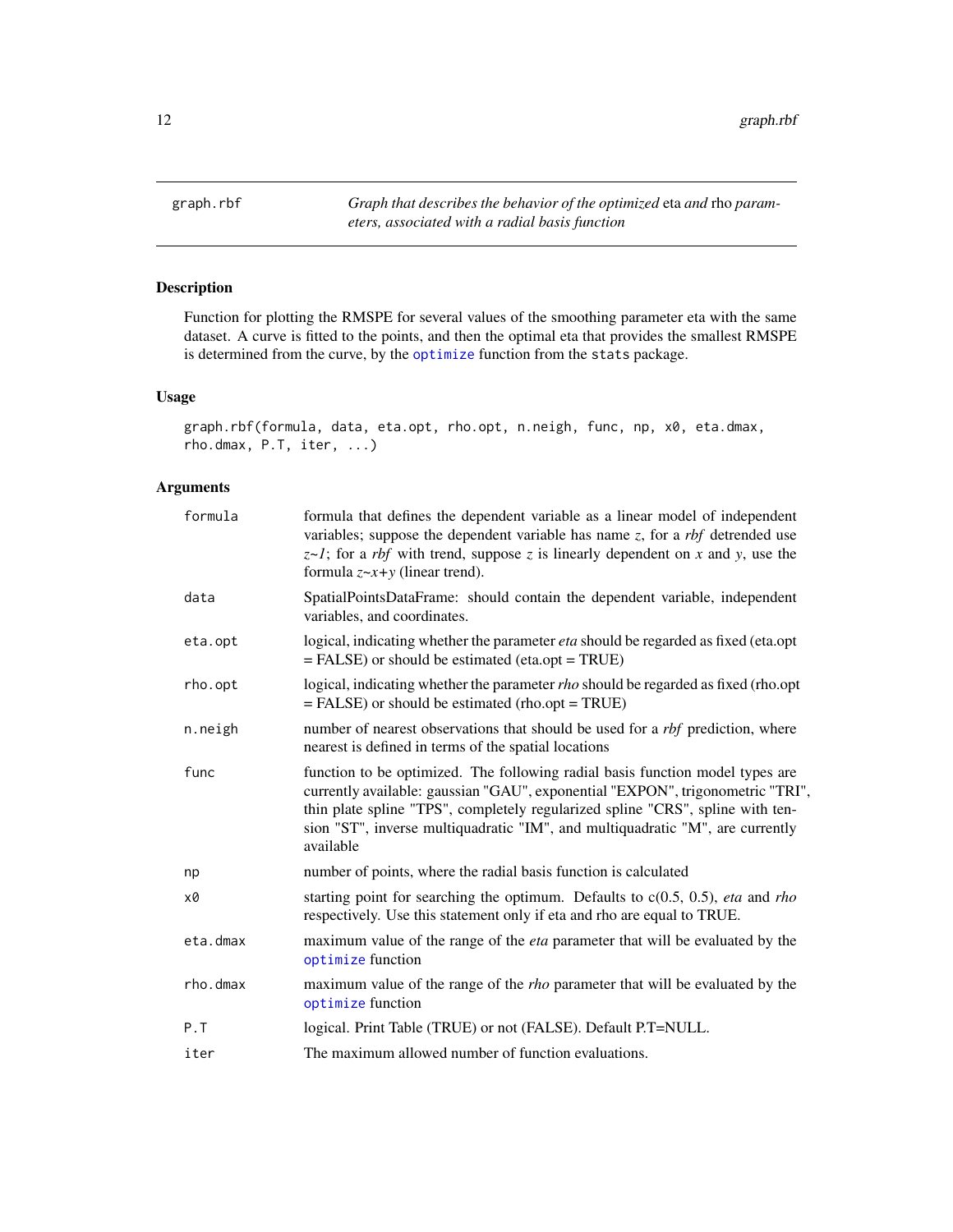<span id="page-11-0"></span>graph.rbf *Graph that describes the behavior of the optimized* eta *and* rho *parameters, associated with a radial basis function*

# Description

Function for plotting the RMSPE for several values of the smoothing parameter eta with the same dataset. A curve is fitted to the points, and then the optimal eta that provides the smallest RMSPE is determined from the curve, by the [optimize](#page-0-0) function from the stats package.

# Usage

```
graph.rbf(formula, data, eta.opt, rho.opt, n.neigh, func, np, x0, eta.dmax,
rho.dmax, P.T, iter, ...)
```
# Arguments

| formula  | formula that defines the dependent variable as a linear model of independent<br>variables; suppose the dependent variable has name z, for a <i>rbf</i> detrended use<br>$z \sim l$ ; for a <i>rbf</i> with trend, suppose z is linearly dependent on x and y, use the<br>formula $z \sim x+y$ (linear trend).                                   |
|----------|-------------------------------------------------------------------------------------------------------------------------------------------------------------------------------------------------------------------------------------------------------------------------------------------------------------------------------------------------|
| data     | SpatialPointsDataFrame: should contain the dependent variable, independent<br>variables, and coordinates.                                                                                                                                                                                                                                       |
| eta.opt  | logical, indicating whether the parameter <i>eta</i> should be regarded as fixed (eta.opt<br>$=$ FALSE) or should be estimated (eta.opt = TRUE)                                                                                                                                                                                                 |
| rho.opt  | logical, indicating whether the parameter rho should be regarded as fixed (rho.opt<br>$=$ FALSE) or should be estimated (rho.opt = TRUE)                                                                                                                                                                                                        |
| n.neigh  | number of nearest observations that should be used for a <i>rbf</i> prediction, where<br>nearest is defined in terms of the spatial locations                                                                                                                                                                                                   |
| func     | function to be optimized. The following radial basis function model types are<br>currently available: gaussian "GAU", exponential "EXPON", trigonometric "TRI",<br>thin plate spline "TPS", completely regularized spline "CRS", spline with ten-<br>sion "ST", inverse multiquadratic "IM", and multiquadratic "M", are currently<br>available |
| np       | number of points, where the radial basis function is calculated                                                                                                                                                                                                                                                                                 |
| x0       | starting point for searching the optimum. Defaults to $c(0.5, 0.5)$ , eta and rho<br>respectively. Use this statement only if eta and rho are equal to TRUE.                                                                                                                                                                                    |
| eta.dmax | maximum value of the range of the <i>eta</i> parameter that will be evaluated by the<br>optimize function                                                                                                                                                                                                                                       |
| rho.dmax | maximum value of the range of the <i>rho</i> parameter that will be evaluated by the<br>optimize function                                                                                                                                                                                                                                       |
| P.T      | logical. Print Table (TRUE) or not (FALSE). Default P.T=NULL.                                                                                                                                                                                                                                                                                   |
| iter     | The maximum allowed number of function evaluations.                                                                                                                                                                                                                                                                                             |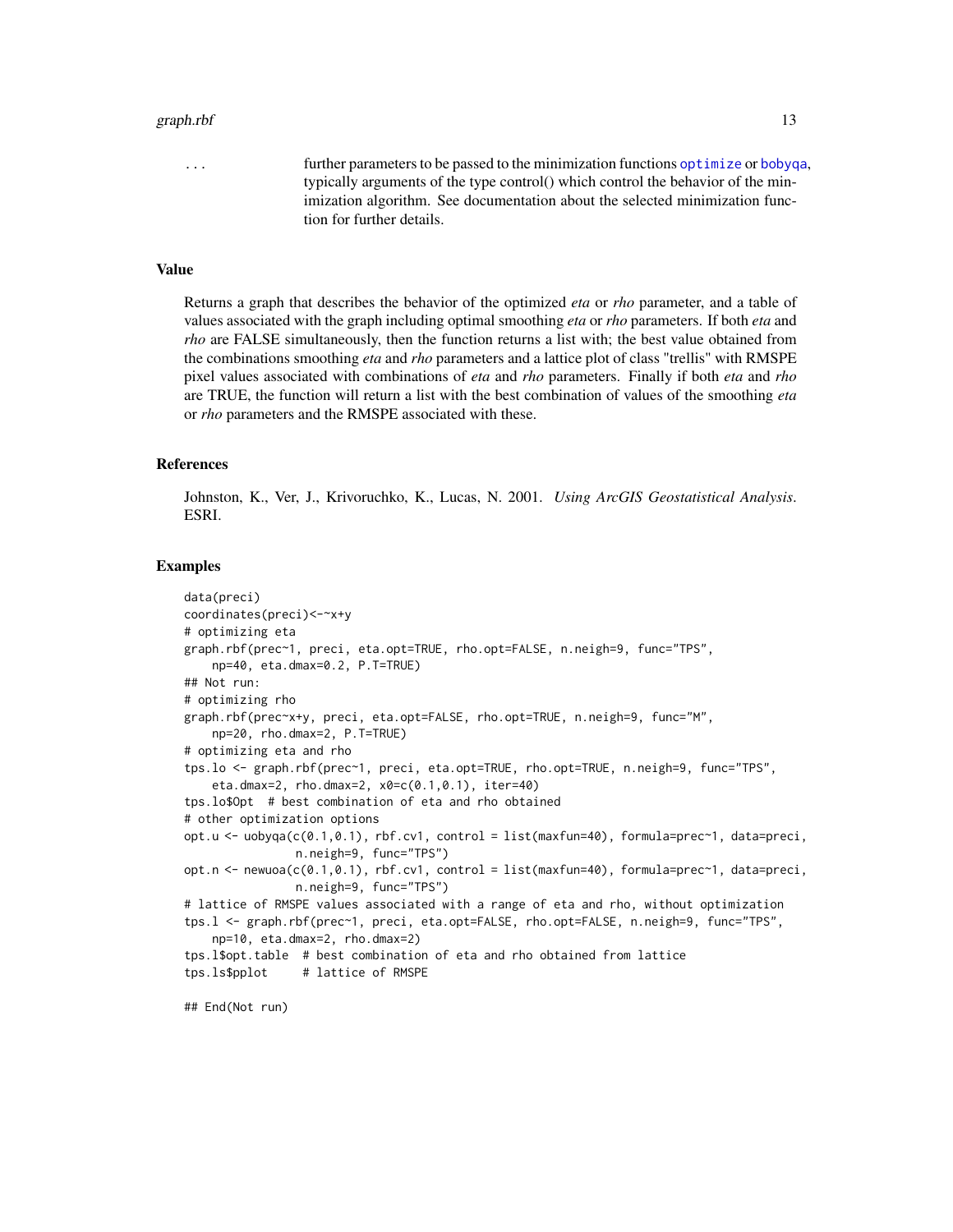#### <span id="page-12-0"></span>graph.rbf 13

... further parameters to be passed to the minimization functions [optimize](#page-0-0) or [bobyqa](#page-0-0), typically arguments of the type control() which control the behavior of the minimization algorithm. See documentation about the selected minimization function for further details.

#### Value

Returns a graph that describes the behavior of the optimized *eta* or *rho* parameter, and a table of values associated with the graph including optimal smoothing *eta* or *rho* parameters. If both *eta* and *rho* are FALSE simultaneously, then the function returns a list with; the best value obtained from the combinations smoothing *eta* and *rho* parameters and a lattice plot of class "trellis" with RMSPE pixel values associated with combinations of *eta* and *rho* parameters. Finally if both *eta* and *rho* are TRUE, the function will return a list with the best combination of values of the smoothing *eta* or *rho* parameters and the RMSPE associated with these.

#### References

Johnston, K., Ver, J., Krivoruchko, K., Lucas, N. 2001. *Using ArcGIS Geostatistical Analysis*. ESRI.

```
data(preci)
coordinates(preci)<-~x+y
# optimizing eta
graph.rbf(prec~1, preci, eta.opt=TRUE, rho.opt=FALSE, n.neigh=9, func="TPS",
    np=40, eta.dmax=0.2, P.T=TRUE)
## Not run:
# optimizing rho
graph.rbf(prec~x+y, preci, eta.opt=FALSE, rho.opt=TRUE, n.neigh=9, func="M",
    np=20, rho.dmax=2, P.T=TRUE)
# optimizing eta and rho
tps.lo <- graph.rbf(prec~1, preci, eta.opt=TRUE, rho.opt=TRUE, n.neigh=9, func="TPS",
    eta.dmax=2, rho.dmax=2, x0=c(0.1,0.1), iter=40)
tps.lo$Opt # best combination of eta and rho obtained
# other optimization options
opt.u <- uobyqa(c(0.1,0.1), rbf.cv1, control = list(maxfun=40), formula=prec~1, data=preci,
                n.neigh=9, func="TPS")
opt.n <- newuoa(c(0.1,0.1), rbf.cv1, control = list(maxfun=40), formula=prec~1, data=preci,
                n.neigh=9, func="TPS")
# lattice of RMSPE values associated with a range of eta and rho, without optimization
tps.l <- graph.rbf(prec~1, preci, eta.opt=FALSE, rho.opt=FALSE, n.neigh=9, func="TPS",
   np=10, eta.dmax=2, rho.dmax=2)
tps.l$opt.table # best combination of eta and rho obtained from lattice
tps.ls$pplot # lattice of RMSPE
## End(Not run)
```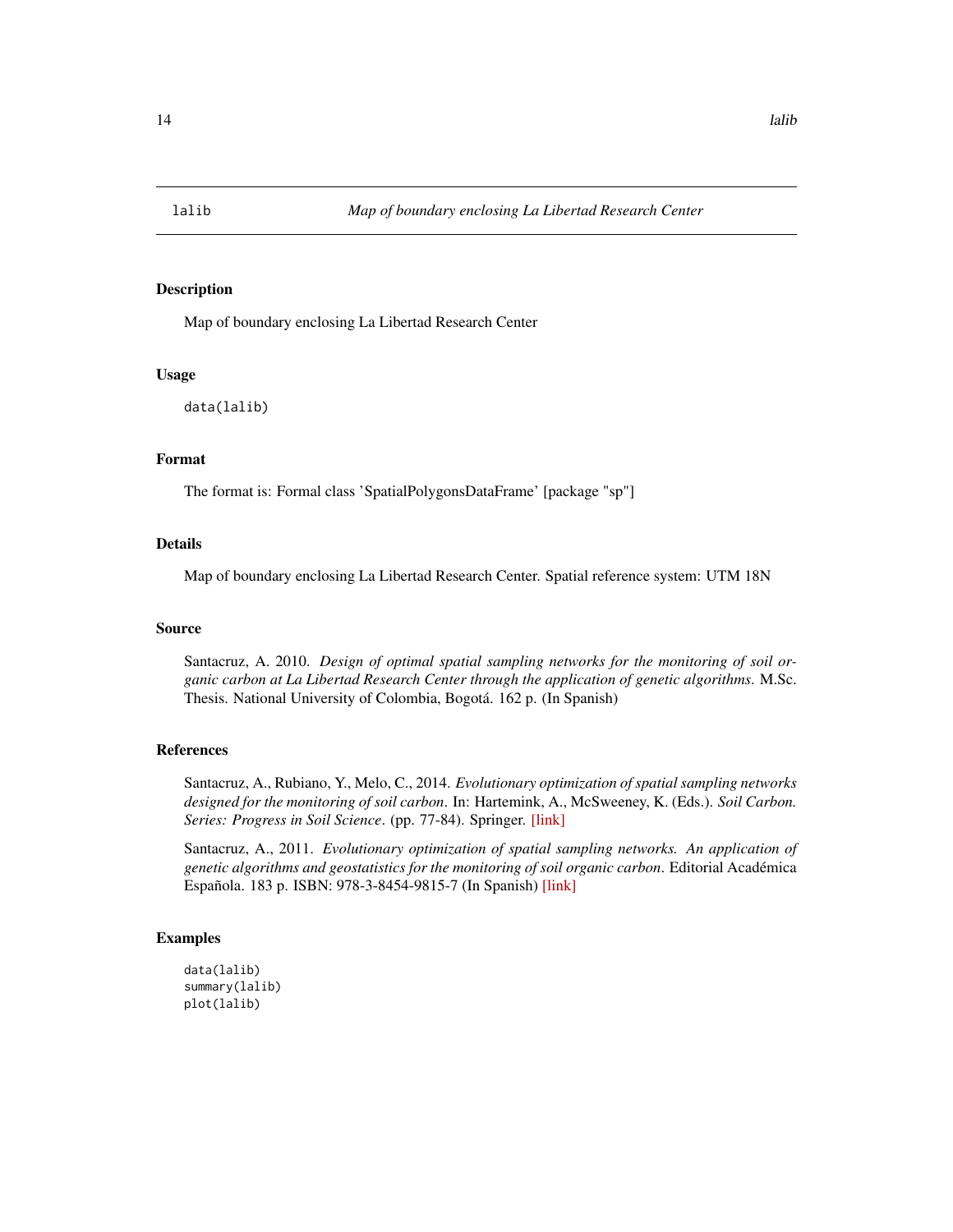<span id="page-13-0"></span>

# Description

Map of boundary enclosing La Libertad Research Center

#### Usage

data(lalib)

#### Format

The format is: Formal class 'SpatialPolygonsDataFrame' [package "sp"]

# Details

Map of boundary enclosing La Libertad Research Center. Spatial reference system: UTM 18N

#### Source

Santacruz, A. 2010. *Design of optimal spatial sampling networks for the monitoring of soil organic carbon at La Libertad Research Center through the application of genetic algorithms*. M.Sc. Thesis. National University of Colombia, Bogotá. 162 p. (In Spanish)

#### References

Santacruz, A., Rubiano, Y., Melo, C., 2014. *Evolutionary optimization of spatial sampling networks designed for the monitoring of soil carbon*. In: Hartemink, A., McSweeney, K. (Eds.). *Soil Carbon. Series: Progress in Soil Science*. (pp. 77-84). Springer. [\[link\]](http://link.springer.com/chapter/10.1007/978-3-319-04084-4_8)

Santacruz, A., 2011. *Evolutionary optimization of spatial sampling networks. An application of genetic algorithms and geostatistics for the monitoring of soil organic carbon*. Editorial Académica Española. 183 p. ISBN: 978-3-8454-9815-7 (In Spanish) [\[link\]](http://www.amazon.com/Optimizaci�n-evolutiva-redes-espaciales-muestreo/dp/3845498153/)

```
data(lalib)
summary(lalib)
plot(lalib)
```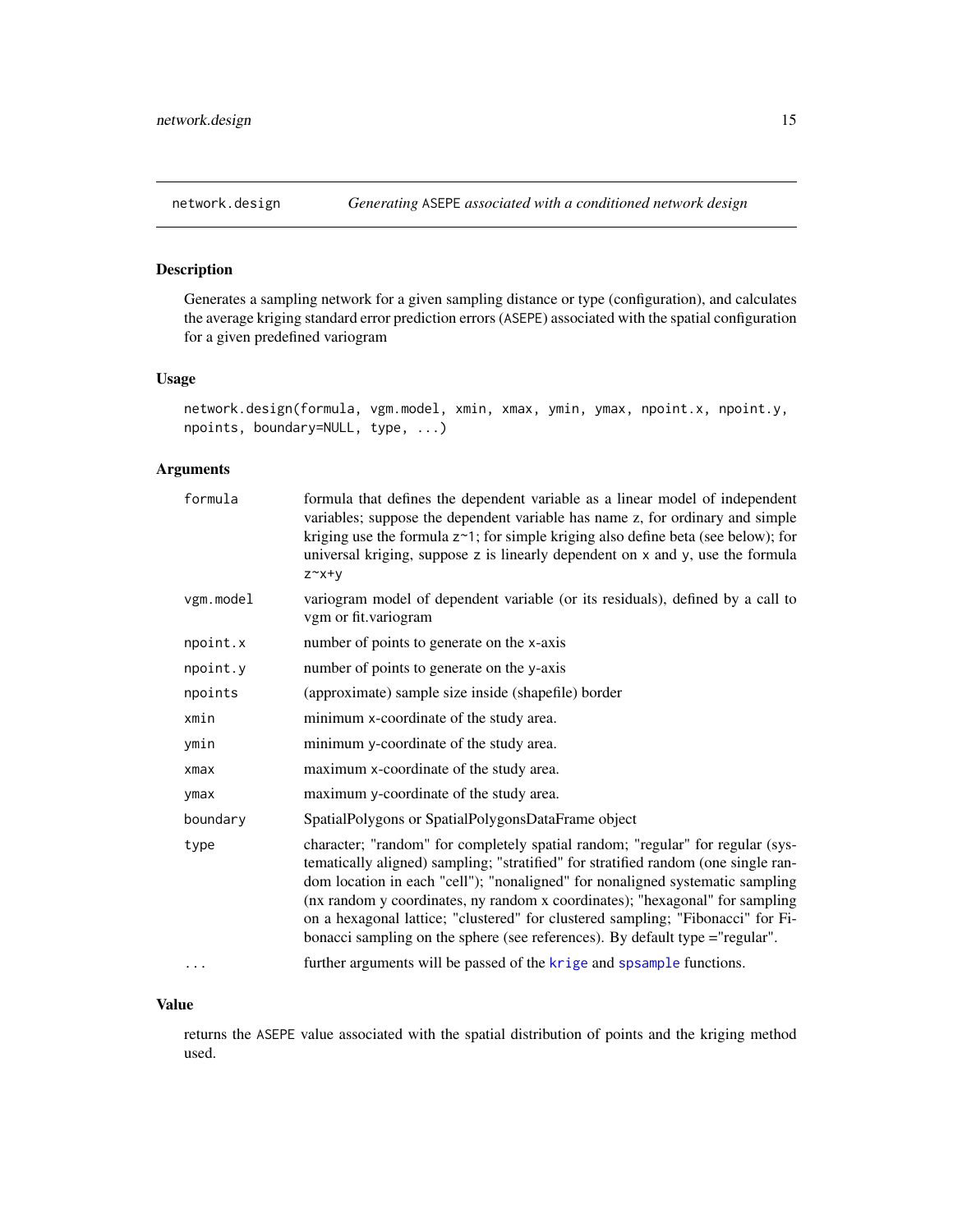#### <span id="page-14-0"></span>Description

Generates a sampling network for a given sampling distance or type (configuration), and calculates the average kriging standard error prediction errors (ASEPE) associated with the spatial configuration for a given predefined variogram

# Usage

network.design(formula, vgm.model, xmin, xmax, ymin, ymax, npoint.x, npoint.y, npoints, boundary=NULL, type, ...)

# Arguments

| formula   | formula that defines the dependent variable as a linear model of independent<br>variables; suppose the dependent variable has name z, for ordinary and simple<br>kriging use the formula $z \sim 1$ ; for simple kriging also define beta (see below); for<br>universal kriging, suppose z is linearly dependent on x and y, use the formula<br>$Z^{\sim}X^{+\gamma}$                                                                                                                                     |
|-----------|-----------------------------------------------------------------------------------------------------------------------------------------------------------------------------------------------------------------------------------------------------------------------------------------------------------------------------------------------------------------------------------------------------------------------------------------------------------------------------------------------------------|
| vgm.model | variogram model of dependent variable (or its residuals), defined by a call to<br>vgm or fit.variogram                                                                                                                                                                                                                                                                                                                                                                                                    |
| npoint.x  | number of points to generate on the x-axis                                                                                                                                                                                                                                                                                                                                                                                                                                                                |
| npoint.y  | number of points to generate on the y-axis                                                                                                                                                                                                                                                                                                                                                                                                                                                                |
| npoints   | (approximate) sample size inside (shapefile) border                                                                                                                                                                                                                                                                                                                                                                                                                                                       |
| xmin      | minimum x-coordinate of the study area.                                                                                                                                                                                                                                                                                                                                                                                                                                                                   |
| ymin      | minimum y-coordinate of the study area.                                                                                                                                                                                                                                                                                                                                                                                                                                                                   |
| xmax      | maximum x-coordinate of the study area.                                                                                                                                                                                                                                                                                                                                                                                                                                                                   |
| ymax      | maximum y-coordinate of the study area.                                                                                                                                                                                                                                                                                                                                                                                                                                                                   |
| boundary  | SpatialPolygons or SpatialPolygonsDataFrame object                                                                                                                                                                                                                                                                                                                                                                                                                                                        |
| type      | character; "random" for completely spatial random; "regular" for regular (sys-<br>tematically aligned) sampling; "stratified" for stratified random (one single ran-<br>dom location in each "cell"); "nonaligned" for nonaligned systematic sampling<br>(nx random y coordinates, ny random x coordinates); "hexagonal" for sampling<br>on a hexagonal lattice; "clustered" for clustered sampling; "Fibonacci" for Fi-<br>bonacci sampling on the sphere (see references). By default type = "regular". |
| $\cdots$  | further arguments will be passed of the krige and spsample functions.                                                                                                                                                                                                                                                                                                                                                                                                                                     |

#### Value

returns the ASEPE value associated with the spatial distribution of points and the kriging method used.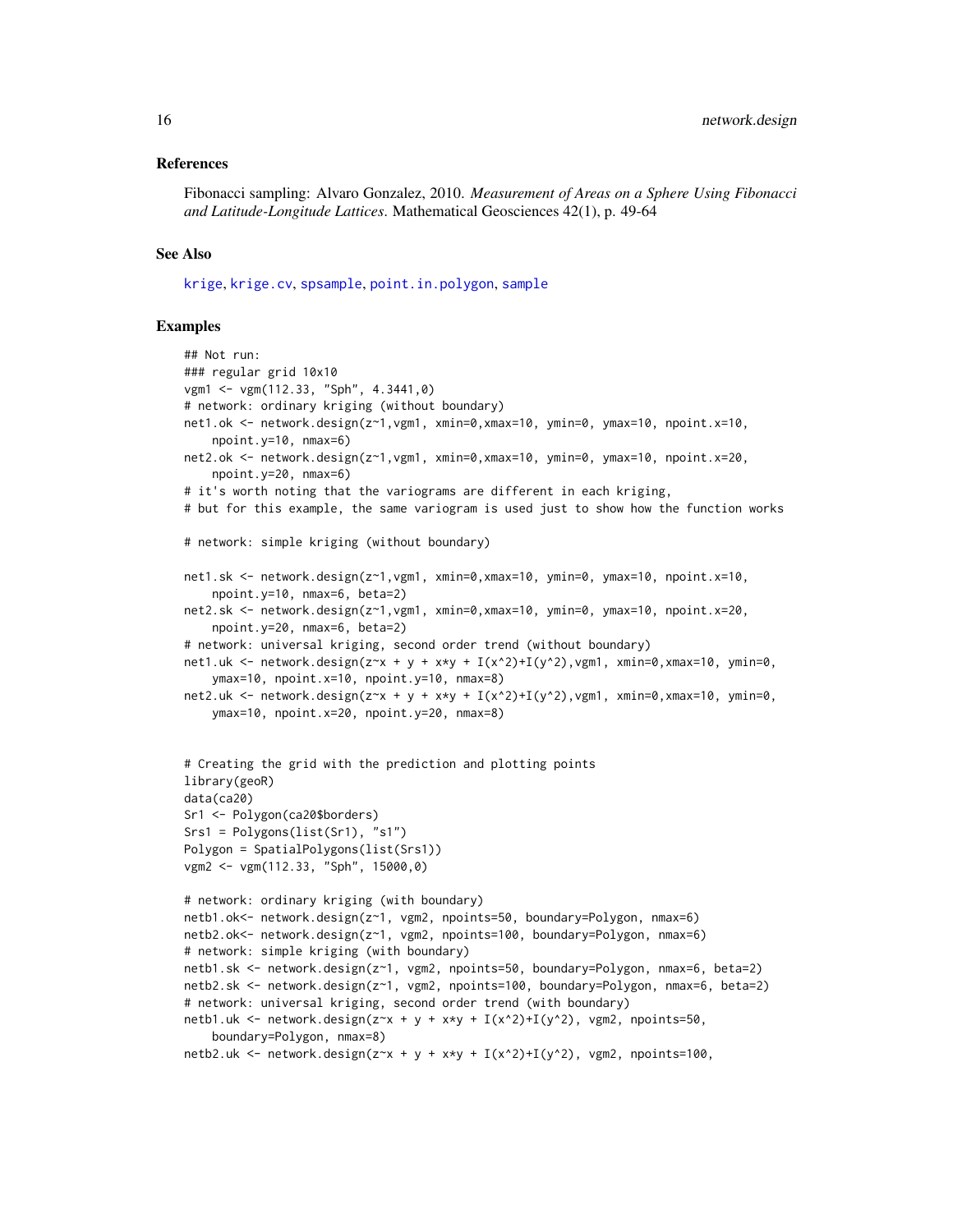#### <span id="page-15-0"></span>References

Fibonacci sampling: Alvaro Gonzalez, 2010. *Measurement of Areas on a Sphere Using Fibonacci and Latitude-Longitude Lattices*. Mathematical Geosciences 42(1), p. 49-64

#### See Also

[krige](#page-0-0), [krige.cv](#page-0-0), [spsample](#page-0-0), [point.in.polygon](#page-0-0), [sample](#page-0-0)

```
## Not run:
### regular grid 10x10
vgm1 <- vgm(112.33, "Sph", 4.3441,0)
# network: ordinary kriging (without boundary)
net1.ok <- network.design(z~1,vgm1, xmin=0,xmax=10, ymin=0, ymax=10, npoint.x=10,
    npoint.y=10, nmax=6)
net2.ok <- network.design(z~1,vgm1, xmin=0,xmax=10, ymin=0, ymax=10, npoint.x=20,
    npoint.y=20, nmax=6)
# it's worth noting that the variograms are different in each kriging,
# but for this example, the same variogram is used just to show how the function works
# network: simple kriging (without boundary)
net1.sk <- network.design(z~1,vgm1, xmin=0,xmax=10, ymin=0, ymax=10, npoint.x=10,
    npoint.y=10, nmax=6, beta=2)
net2.sk <- network.design(z~1,vgm1, xmin=0,xmax=10, ymin=0, ymax=10, npoint.x=20,
    npoint.y=20, nmax=6, beta=2)
# network: universal kriging, second order trend (without boundary)
net1.uk <- network.design(z~x + y + x*y + I(x^2)+I(y^2),vgm1, xmin=0,xmax=10, ymin=0,
    ymax=10, npoint.x=10, npoint.y=10, nmax=8)
net2.uk <- network.design(z~x + y + x*y + I(x^2)+I(y^2),vgm1, xmin=0,xmax=10, ymin=0,
    ymax=10, npoint.x=20, npoint.y=20, nmax=8)
# Creating the grid with the prediction and plotting points
library(geoR)
data(ca20)
Sr1 <- Polygon(ca20$borders)
Srs1 = Polygons(list(Sr1), "s1")
Polygon = SpatialPolygons(list(Srs1))
vgm2 <- vgm(112.33, "Sph", 15000,0)
# network: ordinary kriging (with boundary)
netb1.ok<- network.design(z~1, vgm2, npoints=50, boundary=Polygon, nmax=6)
netb2.ok<- network.design(z~1, vgm2, npoints=100, boundary=Polygon, nmax=6)
# network: simple kriging (with boundary)
netb1.sk <- network.design(z~1, vgm2, npoints=50, boundary=Polygon, nmax=6, beta=2)
netb2.sk <- network.design(z~1, vgm2, npoints=100, boundary=Polygon, nmax=6, beta=2)
# network: universal kriging, second order trend (with boundary)
netb1.uk <- network.design(z~x + y + x*y + I(x^2)+I(y^2), vgm2, npoints=50,
    boundary=Polygon, nmax=8)
netb2.uk <- network.design(z~x + y + x*y + I(x^2)+I(y^2), vgm2, npoints=100,
```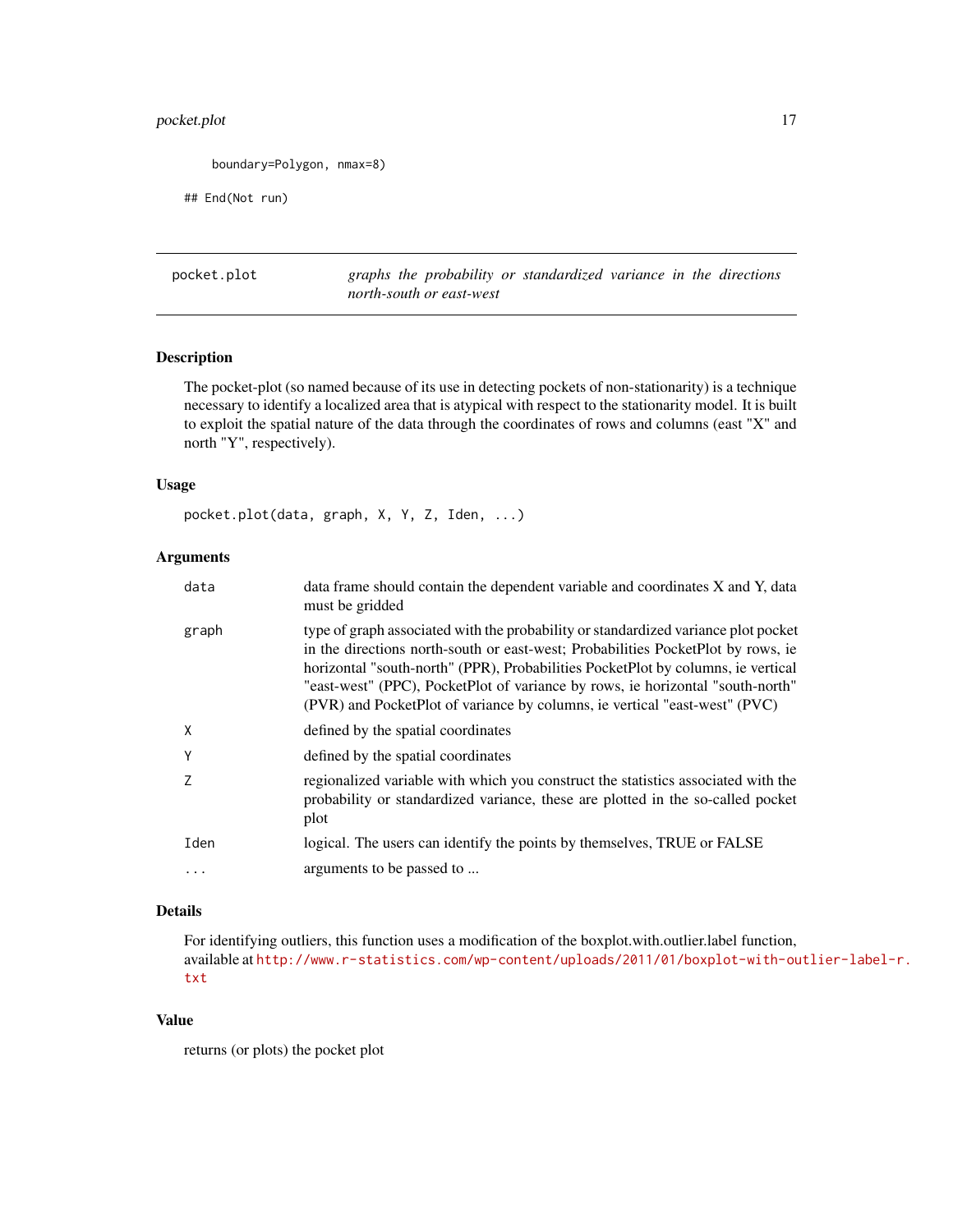# <span id="page-16-0"></span>pocket.plot 17

```
boundary=Polygon, nmax=8)
```
## End(Not run)

pocket.plot *graphs the probability or standardized variance in the directions north-south or east-west*

# Description

The pocket-plot (so named because of its use in detecting pockets of non-stationarity) is a technique necessary to identify a localized area that is atypical with respect to the stationarity model. It is built to exploit the spatial nature of the data through the coordinates of rows and columns (east "X" and north "Y", respectively).

### Usage

pocket.plot(data, graph, X, Y, Z, Iden, ...)

# Arguments

| data  | data frame should contain the dependent variable and coordinates X and Y, data<br>must be gridded                                                                                                                                                                                                                                                                                                                          |
|-------|----------------------------------------------------------------------------------------------------------------------------------------------------------------------------------------------------------------------------------------------------------------------------------------------------------------------------------------------------------------------------------------------------------------------------|
| graph | type of graph associated with the probability or standardized variance plot pocket<br>in the directions north-south or east-west; Probabilities PocketPlot by rows, ie<br>horizontal "south-north" (PPR), Probabilities PocketPlot by columns, ie vertical<br>"east-west" (PPC), PocketPlot of variance by rows, ie horizontal "south-north"<br>(PVR) and PocketPlot of variance by columns, ie vertical "east-west" (PVC) |
| Χ     | defined by the spatial coordinates                                                                                                                                                                                                                                                                                                                                                                                         |
| Υ     | defined by the spatial coordinates                                                                                                                                                                                                                                                                                                                                                                                         |
| Ζ     | regionalized variable with which you construct the statistics associated with the<br>probability or standardized variance, these are plotted in the so-called pocket<br>plot                                                                                                                                                                                                                                               |
| Iden  | logical. The users can identify the points by themselves, TRUE or FALSE                                                                                                                                                                                                                                                                                                                                                    |
| .     | arguments to be passed to                                                                                                                                                                                                                                                                                                                                                                                                  |
|       |                                                                                                                                                                                                                                                                                                                                                                                                                            |

# Details

For identifying outliers, this function uses a modification of the boxplot.with.outlier.label function, available at [http://www.r-statistics.com/wp-content/uploads/2011/01/boxplot-with-ou](http://www.r-statistics.com/wp-content/uploads/2011/01/boxplot-with-outlier-label-r.txt)tlier-label-r. [txt](http://www.r-statistics.com/wp-content/uploads/2011/01/boxplot-with-outlier-label-r.txt)

# Value

returns (or plots) the pocket plot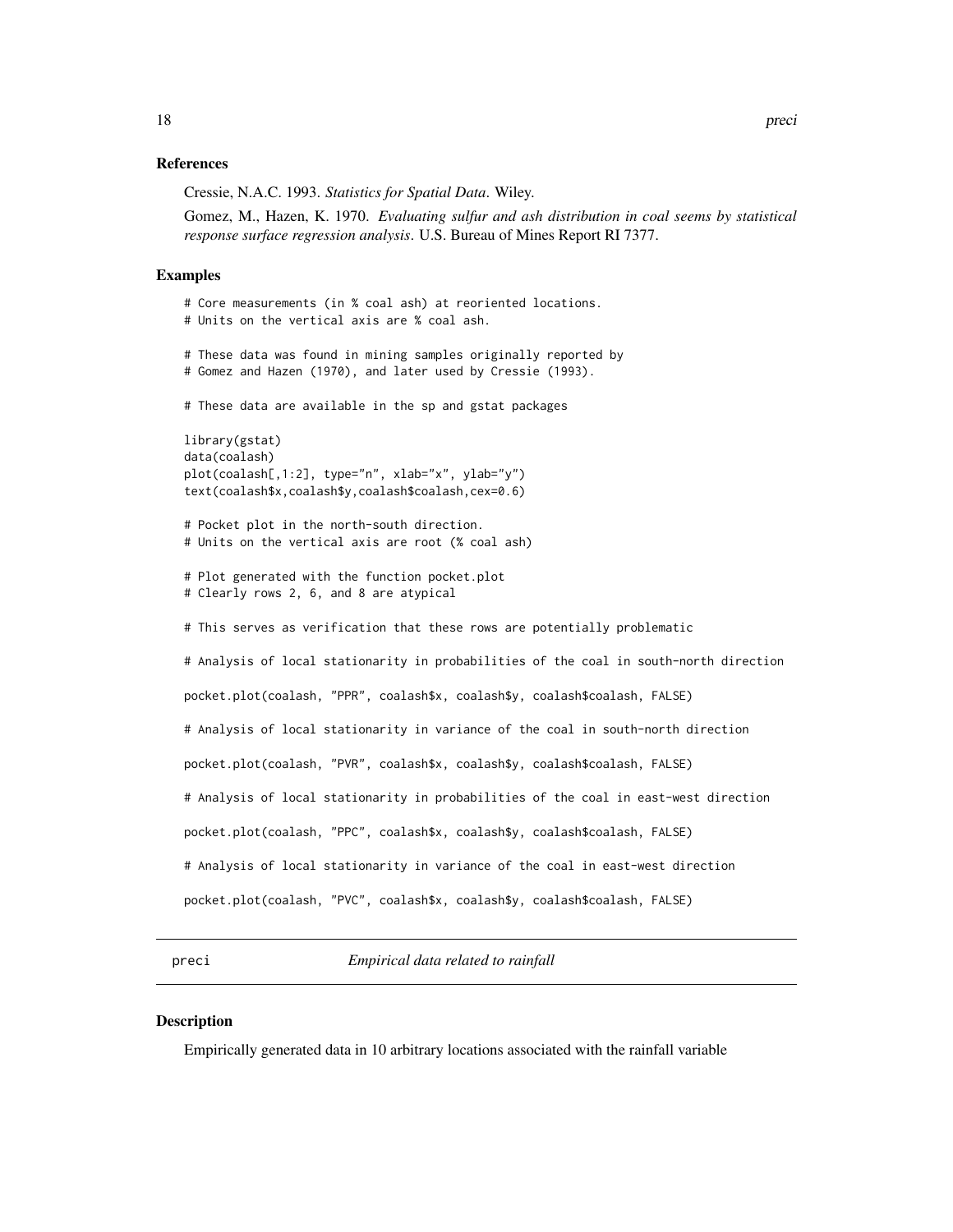#### <span id="page-17-0"></span>References

Cressie, N.A.C. 1993. *Statistics for Spatial Data*. Wiley.

Gomez, M., Hazen, K. 1970. *Evaluating sulfur and ash distribution in coal seems by statistical response surface regression analysis*. U.S. Bureau of Mines Report RI 7377.

#### Examples

```
# Core measurements (in % coal ash) at reoriented locations.
# Units on the vertical axis are % coal ash.
# These data was found in mining samples originally reported by
# Gomez and Hazen (1970), and later used by Cressie (1993).
# These data are available in the sp and gstat packages
library(gstat)
data(coalash)
plot(coalash[,1:2], type="n", xlab="x", ylab="y")
text(coalash$x,coalash$y,coalash$coalash,cex=0.6)
# Pocket plot in the north-south direction.
# Units on the vertical axis are root (% coal ash)
# Plot generated with the function pocket.plot
# Clearly rows 2, 6, and 8 are atypical
# This serves as verification that these rows are potentially problematic
# Analysis of local stationarity in probabilities of the coal in south-north direction
pocket.plot(coalash, "PPR", coalash$x, coalash$y, coalash$coalash, FALSE)
# Analysis of local stationarity in variance of the coal in south-north direction
pocket.plot(coalash, "PVR", coalash$x, coalash$y, coalash$coalash, FALSE)
# Analysis of local stationarity in probabilities of the coal in east-west direction
pocket.plot(coalash, "PPC", coalash$x, coalash$y, coalash$coalash, FALSE)
# Analysis of local stationarity in variance of the coal in east-west direction
pocket.plot(coalash, "PVC", coalash$x, coalash$y, coalash$coalash, FALSE)
```
preci *Empirical data related to rainfall*

#### Description

Empirically generated data in 10 arbitrary locations associated with the rainfall variable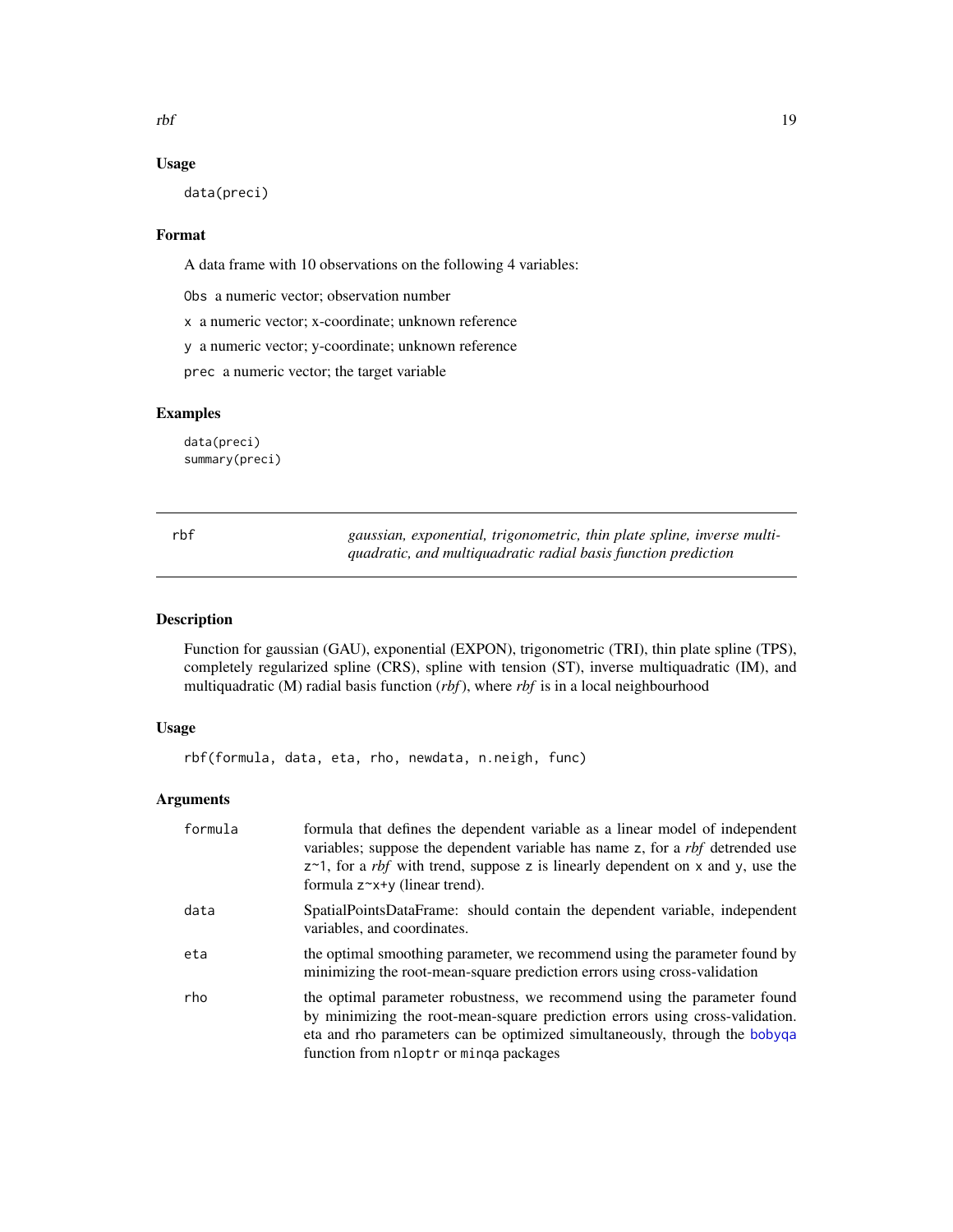<span id="page-18-0"></span>rbf 19

#### Usage

data(preci)

# Format

A data frame with 10 observations on the following 4 variables:

Obs a numeric vector; observation number

x a numeric vector; x-coordinate; unknown reference

y a numeric vector; y-coordinate; unknown reference

prec a numeric vector; the target variable

#### Examples

data(preci) summary(preci)

<span id="page-18-1"></span>rbf *gaussian, exponential, trigonometric, thin plate spline, inverse multiquadratic, and multiquadratic radial basis function prediction*

#### Description

Function for gaussian (GAU), exponential (EXPON), trigonometric (TRI), thin plate spline (TPS), completely regularized spline (CRS), spline with tension (ST), inverse multiquadratic (IM), and multiquadratic (M) radial basis function (*rbf*), where *rbf* is in a local neighbourhood

# Usage

rbf(formula, data, eta, rho, newdata, n.neigh, func)

# Arguments

| formula | formula that defines the dependent variable as a linear model of independent<br>variables; suppose the dependent variable has name z, for a <i>rbf</i> detrended use<br>$z$ ~1, for a <i>rbf</i> with trend, suppose z is linearly dependent on x and y, use the<br>formula $z^*$ x+y (linear trend). |
|---------|-------------------------------------------------------------------------------------------------------------------------------------------------------------------------------------------------------------------------------------------------------------------------------------------------------|
| data    | SpatialPointsDataFrame: should contain the dependent variable, independent<br>variables, and coordinates.                                                                                                                                                                                             |
| eta     | the optimal smoothing parameter, we recommend using the parameter found by<br>minimizing the root-mean-square prediction errors using cross-validation                                                                                                                                                |
| rho     | the optimal parameter robustness, we recommend using the parameter found<br>by minimizing the root-mean-square prediction errors using cross-validation.<br>eta and rho parameters can be optimized simultaneously, through the bobyqa<br>function from nloptr or minga packages                      |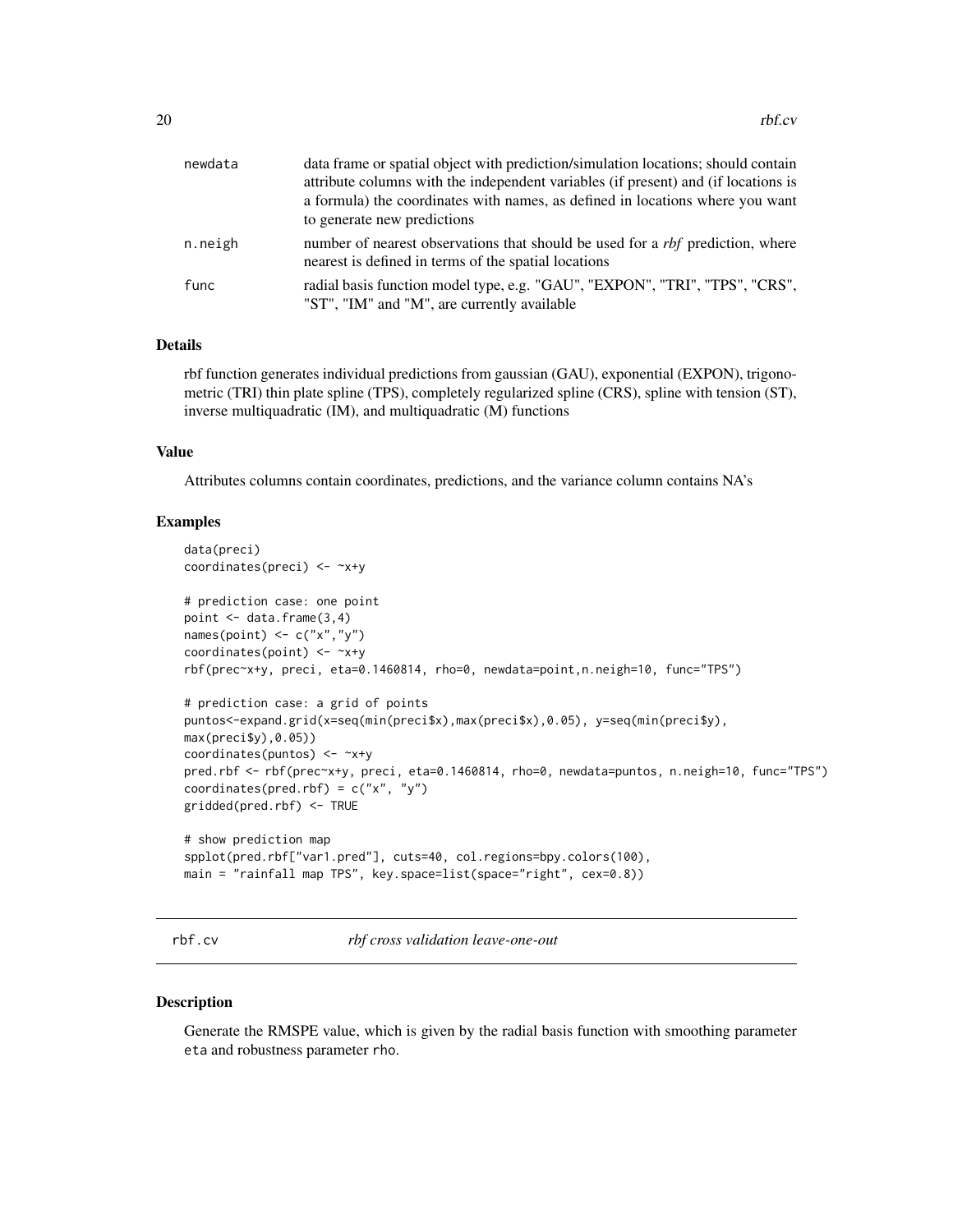<span id="page-19-0"></span>

| newdata | data frame or spatial object with prediction/simulation locations; should contain<br>attribute columns with the independent variables (if present) and (if locations is |
|---------|-------------------------------------------------------------------------------------------------------------------------------------------------------------------------|
|         | a formula) the coordinates with names, as defined in locations where you want<br>to generate new predictions                                                            |
| n.neigh | number of nearest observations that should be used for a <i>rbf</i> prediction, where<br>nearest is defined in terms of the spatial locations                           |
| func    | radial basis function model type, e.g. "GAU", "EXPON", "TRI", "TPS", "CRS",<br>"ST", "IM" and "M", are currently available                                              |

#### Details

rbf function generates individual predictions from gaussian (GAU), exponential (EXPON), trigonometric (TRI) thin plate spline (TPS), completely regularized spline (CRS), spline with tension (ST), inverse multiquadratic (IM), and multiquadratic (M) functions

# Value

Attributes columns contain coordinates, predictions, and the variance column contains NA's

# Examples

```
data(preci)
coordinates(preci) <- ~x+y
# prediction case: one point
point <- data.frame(3,4)
names(point) \leq c("x","y")
coordinates(point) <- ~x+y
rbf(prec~x+y, preci, eta=0.1460814, rho=0, newdata=point,n.neigh=10, func="TPS")
# prediction case: a grid of points
puntos<-expand.grid(x=seq(min(preci$x),max(preci$x),0.05), y=seq(min(preci$y),
max(preci$y),0.05))
coordinates(puntos) <- ~x+y
pred.rbf <- rbf(prec~x+y, preci, eta=0.1460814, rho=0, newdata=puntos, n.neigh=10, func="TPS")
coordinates(pred.rbf) = c("x", "y")gridded(pred.rbf) <- TRUE
# show prediction map
spplot(pred.rbf["var1.pred"], cuts=40, col.regions=bpy.colors(100),
main = "rainfall map TPS", key.space=list(space="right", cex=0.8))
```
rbf.cv *rbf cross validation leave-one-out*

#### Description

Generate the RMSPE value, which is given by the radial basis function with smoothing parameter eta and robustness parameter rho.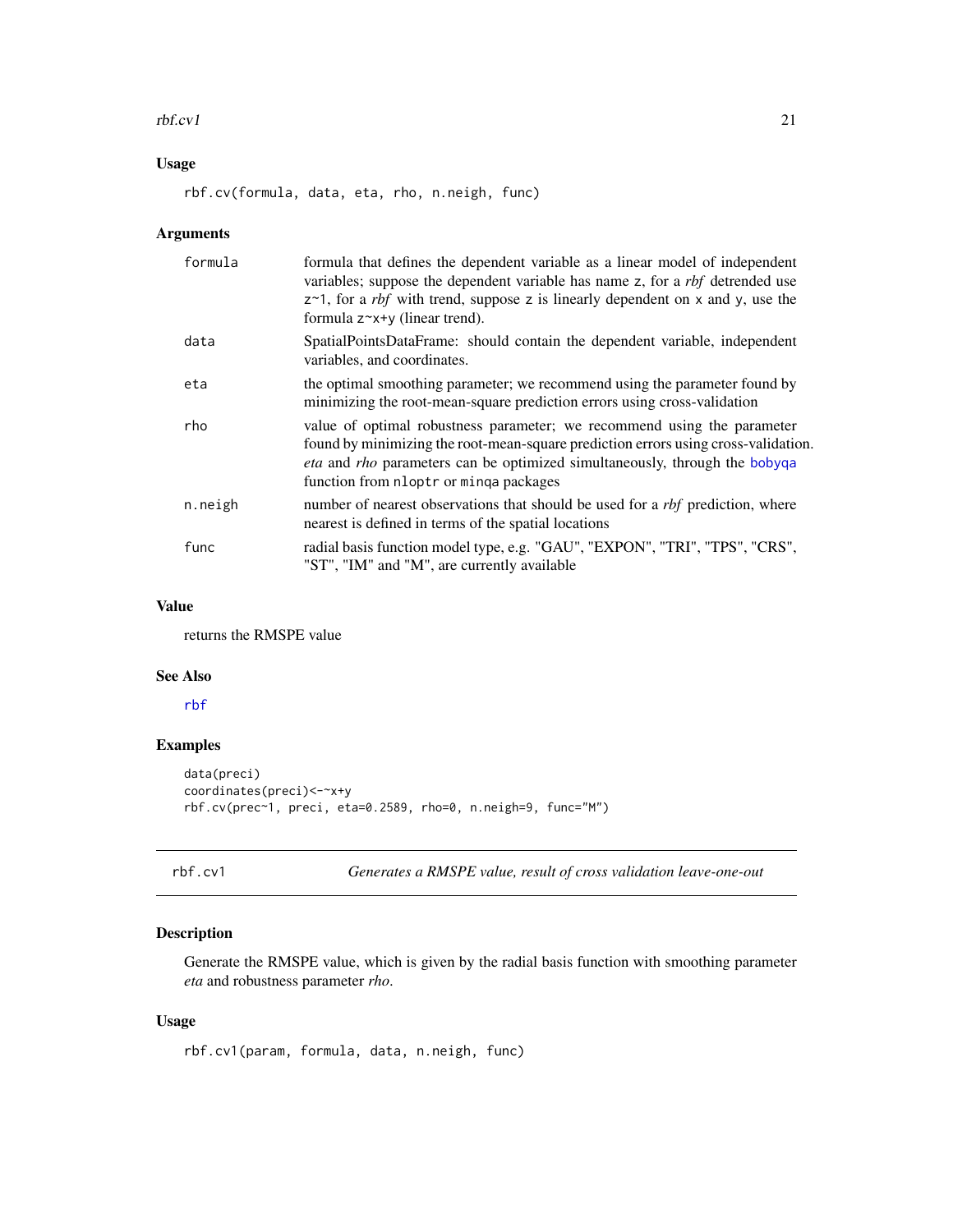#### <span id="page-20-0"></span> $\frac{1}{21}$

# Usage

rbf.cv(formula, data, eta, rho, n.neigh, func)

# Arguments

| formula | formula that defines the dependent variable as a linear model of independent<br>variables; suppose the dependent variable has name z, for a <i>rbf</i> detrended use<br>$z$ ~1, for a <i>rbf</i> with trend, suppose z is linearly dependent on x and y, use the<br>formula $z^*x+y$ (linear trend). |
|---------|------------------------------------------------------------------------------------------------------------------------------------------------------------------------------------------------------------------------------------------------------------------------------------------------------|
| data    | SpatialPointsDataFrame: should contain the dependent variable, independent<br>variables, and coordinates.                                                                                                                                                                                            |
| eta     | the optimal smoothing parameter; we recommend using the parameter found by<br>minimizing the root-mean-square prediction errors using cross-validation                                                                                                                                               |
| rho     | value of optimal robustness parameter; we recommend using the parameter<br>found by minimizing the root-mean-square prediction errors using cross-validation.<br><i>eta</i> and <i>rho</i> parameters can be optimized simultaneously, through the bobyqa<br>function from nloptr or minga packages  |
| n.neigh | number of nearest observations that should be used for a <i>rbf</i> prediction, where<br>nearest is defined in terms of the spatial locations                                                                                                                                                        |
| func    | radial basis function model type, e.g. "GAU", "EXPON", "TRI", "TPS", "CRS",<br>"ST", "IM" and "M", are currently available                                                                                                                                                                           |

#### Value

returns the RMSPE value

#### See Also

[rbf](#page-18-1)

# Examples

```
data(preci)
coordinates(preci)<-~x+y
rbf.cv(prec~1, preci, eta=0.2589, rho=0, n.neigh=9, func="M")
```

```
rbf.cv1 Generates a RMSPE value, result of cross validation leave-one-out
```
# Description

Generate the RMSPE value, which is given by the radial basis function with smoothing parameter *eta* and robustness parameter *rho*.

#### Usage

```
rbf.cv1(param, formula, data, n.neigh, func)
```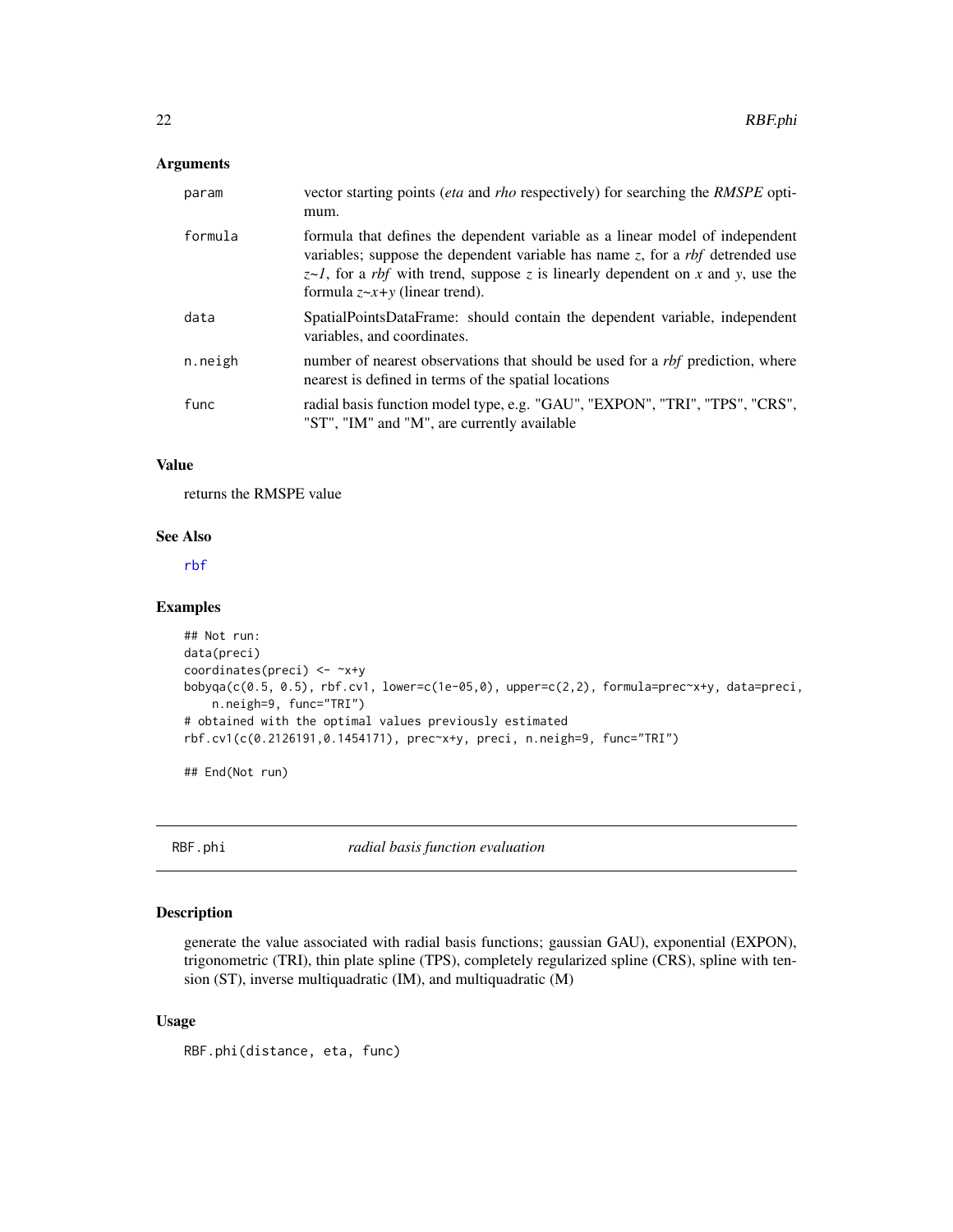# <span id="page-21-0"></span>Arguments

| param   | vector starting points (eta and rho respectively) for searching the RMSPE opti-<br>mum.                                                                                                                                                                                                                   |
|---------|-----------------------------------------------------------------------------------------------------------------------------------------------------------------------------------------------------------------------------------------------------------------------------------------------------------|
| formula | formula that defines the dependent variable as a linear model of independent<br>variables; suppose the dependent variable has name $z$ , for a rbf detrended use<br>$z \sim l$ , for a <i>rbf</i> with trend, suppose z is linearly dependent on x and y, use the<br>formula $z \sim x+y$ (linear trend). |
| data    | SpatialPointsDataFrame: should contain the dependent variable, independent<br>variables, and coordinates.                                                                                                                                                                                                 |
| n.neigh | number of nearest observations that should be used for a <i>rbf</i> prediction, where<br>nearest is defined in terms of the spatial locations                                                                                                                                                             |
| func    | radial basis function model type, e.g. "GAU", "EXPON", "TRI", "TPS", "CRS",<br>"ST", "IM" and "M", are currently available                                                                                                                                                                                |

# Value

returns the RMSPE value

#### See Also

[rbf](#page-18-1)

# Examples

```
## Not run:
data(preci)
coordinates(preci) <- ~x+y
bobyqa(c(0.5, 0.5), rbf.cv1, lower=c(1e-05,0), upper=c(2,2), formula=prec-x+y, data=preci,n.neigh=9, func="TRI")
# obtained with the optimal values previously estimated
rbf.cv1(c(0.2126191,0.1454171), prec~x+y, preci, n.neigh=9, func="TRI")
```
## End(Not run)

RBF.phi *radial basis function evaluation*

# Description

generate the value associated with radial basis functions; gaussian GAU), exponential (EXPON), trigonometric (TRI), thin plate spline (TPS), completely regularized spline (CRS), spline with tension (ST), inverse multiquadratic (IM), and multiquadratic (M)

#### Usage

```
RBF.phi(distance, eta, func)
```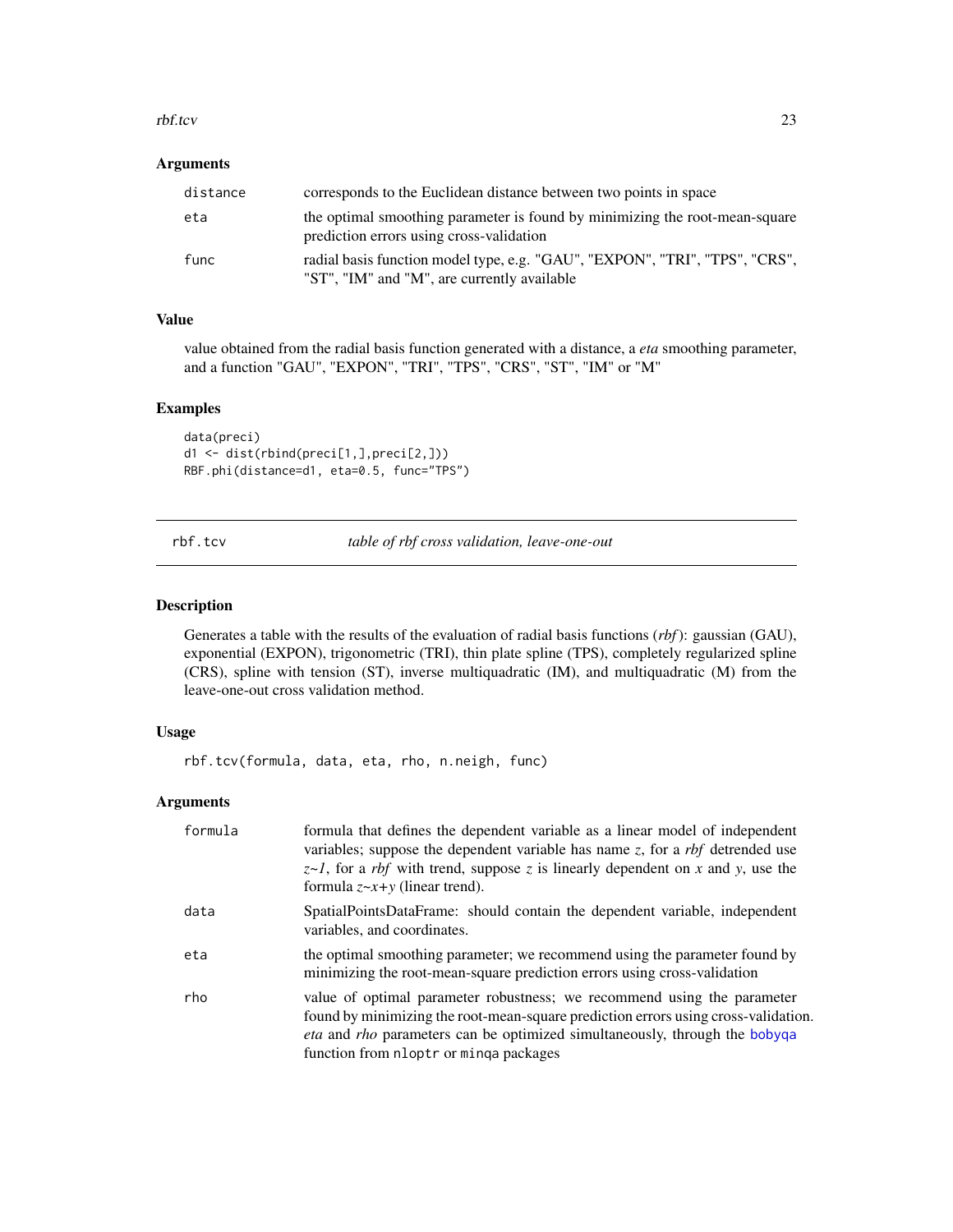#### <span id="page-22-0"></span>rbf.tcv 23

# Arguments

| distance | corresponds to the Euclidean distance between two points in space                                                          |
|----------|----------------------------------------------------------------------------------------------------------------------------|
| eta      | the optimal smoothing parameter is found by minimizing the root-mean-square<br>prediction errors using cross-validation    |
| func     | radial basis function model type, e.g. "GAU", "EXPON", "TRI", "TPS", "CRS",<br>"ST", "IM" and "M", are currently available |

# Value

value obtained from the radial basis function generated with a distance, a *eta* smoothing parameter, and a function "GAU", "EXPON", "TRI", "TPS", "CRS", "ST", "IM" or "M"

# Examples

```
data(preci)
d1 <- dist(rbind(preci[1,],preci[2,]))
RBF.phi(distance=d1, eta=0.5, func="TPS")
```
<span id="page-22-1"></span>rbf.tcv *table of rbf cross validation, leave-one-out*

# Description

Generates a table with the results of the evaluation of radial basis functions (*rbf*): gaussian (GAU), exponential (EXPON), trigonometric (TRI), thin plate spline (TPS), completely regularized spline (CRS), spline with tension (ST), inverse multiquadratic (IM), and multiquadratic (M) from the leave-one-out cross validation method.

#### Usage

rbf.tcv(formula, data, eta, rho, n.neigh, func)

# Arguments

| formula | formula that defines the dependent variable as a linear model of independent<br>variables; suppose the dependent variable has name $z$ , for a <i>rbf</i> detrended use<br>$z \sim l$ , for a <i>rbf</i> with trend, suppose z is linearly dependent on x and y, use the<br>formula $z \sim x + y$ (linear trend). |
|---------|--------------------------------------------------------------------------------------------------------------------------------------------------------------------------------------------------------------------------------------------------------------------------------------------------------------------|
| data    | SpatialPointsDataFrame: should contain the dependent variable, independent<br>variables, and coordinates.                                                                                                                                                                                                          |
| eta     | the optimal smoothing parameter; we recommend using the parameter found by<br>minimizing the root-mean-square prediction errors using cross-validation                                                                                                                                                             |
| rho     | value of optimal parameter robustness; we recommend using the parameter<br>found by minimizing the root-mean-square prediction errors using cross-validation.<br><i>eta</i> and <i>rho</i> parameters can be optimized simultaneously, through the bobyqa<br>function from nloptr or minga packages                |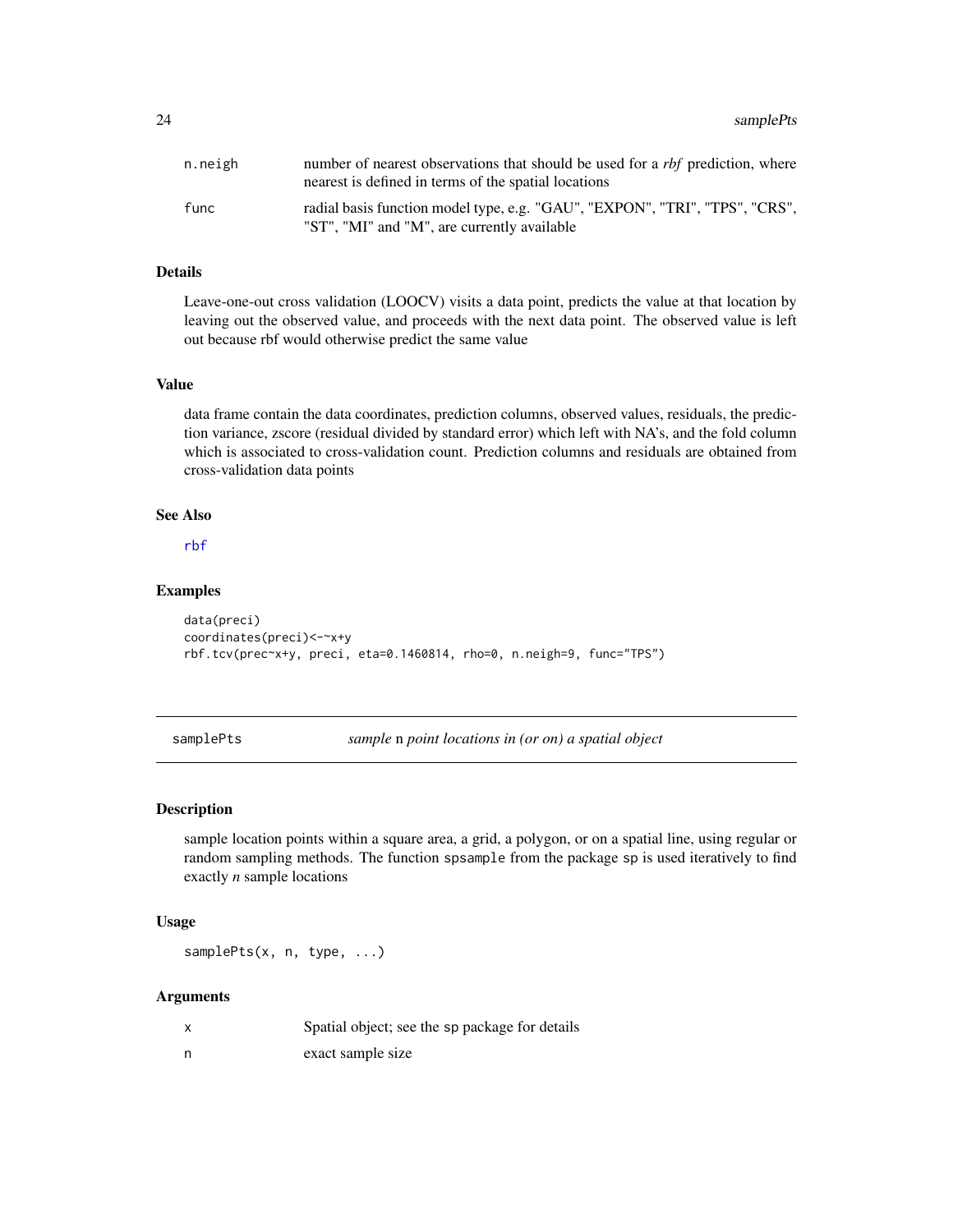<span id="page-23-0"></span>

| n.neigh | number of nearest observations that should be used for a <i>rbf</i> prediction, where<br>nearest is defined in terms of the spatial locations |
|---------|-----------------------------------------------------------------------------------------------------------------------------------------------|
| func    | radial basis function model type, e.g. "GAU", "EXPON", "TRI", "TPS", "CRS",<br>"ST", "MI" and "M", are currently available                    |

#### Details

Leave-one-out cross validation (LOOCV) visits a data point, predicts the value at that location by leaving out the observed value, and proceeds with the next data point. The observed value is left out because rbf would otherwise predict the same value

#### Value

data frame contain the data coordinates, prediction columns, observed values, residuals, the prediction variance, zscore (residual divided by standard error) which left with NA's, and the fold column which is associated to cross-validation count. Prediction columns and residuals are obtained from cross-validation data points

# See Also

[rbf](#page-18-1)

#### Examples

```
data(preci)
coordinates(preci)<-~x+y
rbf.tcv(prec~x+y, preci, eta=0.1460814, rho=0, n.neigh=9, func="TPS")
```
samplePts *sample* n *point locations in (or on) a spatial object*

#### Description

sample location points within a square area, a grid, a polygon, or on a spatial line, using regular or random sampling methods. The function spsample from the package sp is used iteratively to find exactly *n* sample locations

#### Usage

samplePts(x, n, type, ...)

#### Arguments

| Spatial object; see the sp package for details |
|------------------------------------------------|
| exact sample size                              |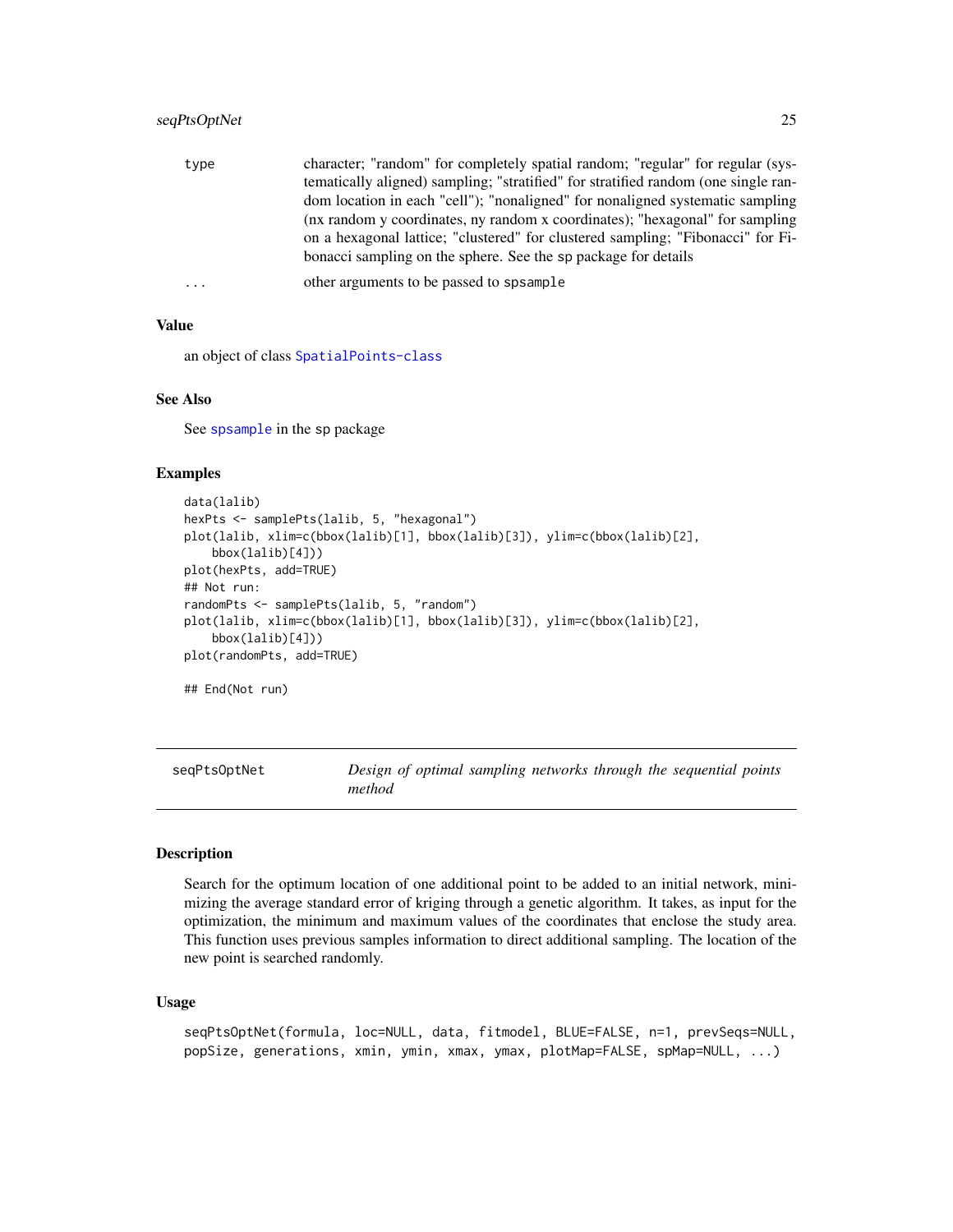# <span id="page-24-0"></span>seqPtsOptNet 25

| type     | character; "random" for completely spatial random; "regular" for regular (sys-     |
|----------|------------------------------------------------------------------------------------|
|          | tematically aligned) sampling; "stratified" for stratified random (one single ran- |
|          | dom location in each "cell"); "nonaligned" for nonaligned systematic sampling      |
|          | (nx random y coordinates, ny random x coordinates); "hexagonal" for sampling       |
|          | on a hexagonal lattice; "clustered" for clustered sampling; "Fibonacci" for Fi-    |
|          | bonacci sampling on the sphere. See the sp package for details                     |
| $\cdots$ | other arguments to be passed to spsample                                           |

# Value

an object of class [SpatialPoints-class](#page-0-0)

#### See Also

See [spsample](#page-0-0) in the sp package

# Examples

```
data(lalib)
hexPts <- samplePts(lalib, 5, "hexagonal")
plot(lalib, xlim=c(bbox(lalib)[1], bbox(lalib)[3]), ylim=c(bbox(lalib)[2],
   bbox(lalib)[4]))
plot(hexPts, add=TRUE)
## Not run:
randomPts <- samplePts(lalib, 5, "random")
plot(lalib, xlim=c(bbox(lalib)[1], bbox(lalib)[3]), ylim=c(bbox(lalib)[2],
   bbox(lalib)[4]))
plot(randomPts, add=TRUE)
## End(Not run)
```
<span id="page-24-1"></span>seqPtsOptNet *Design of optimal sampling networks through the sequential points method*

#### Description

Search for the optimum location of one additional point to be added to an initial network, minimizing the average standard error of kriging through a genetic algorithm. It takes, as input for the optimization, the minimum and maximum values of the coordinates that enclose the study area. This function uses previous samples information to direct additional sampling. The location of the new point is searched randomly.

#### Usage

```
seqPtsOptNet(formula, loc=NULL, data, fitmodel, BLUE=FALSE, n=1, prevSeqs=NULL,
popSize, generations, xmin, ymin, xmax, ymax, plotMap=FALSE, spMap=NULL, ...)
```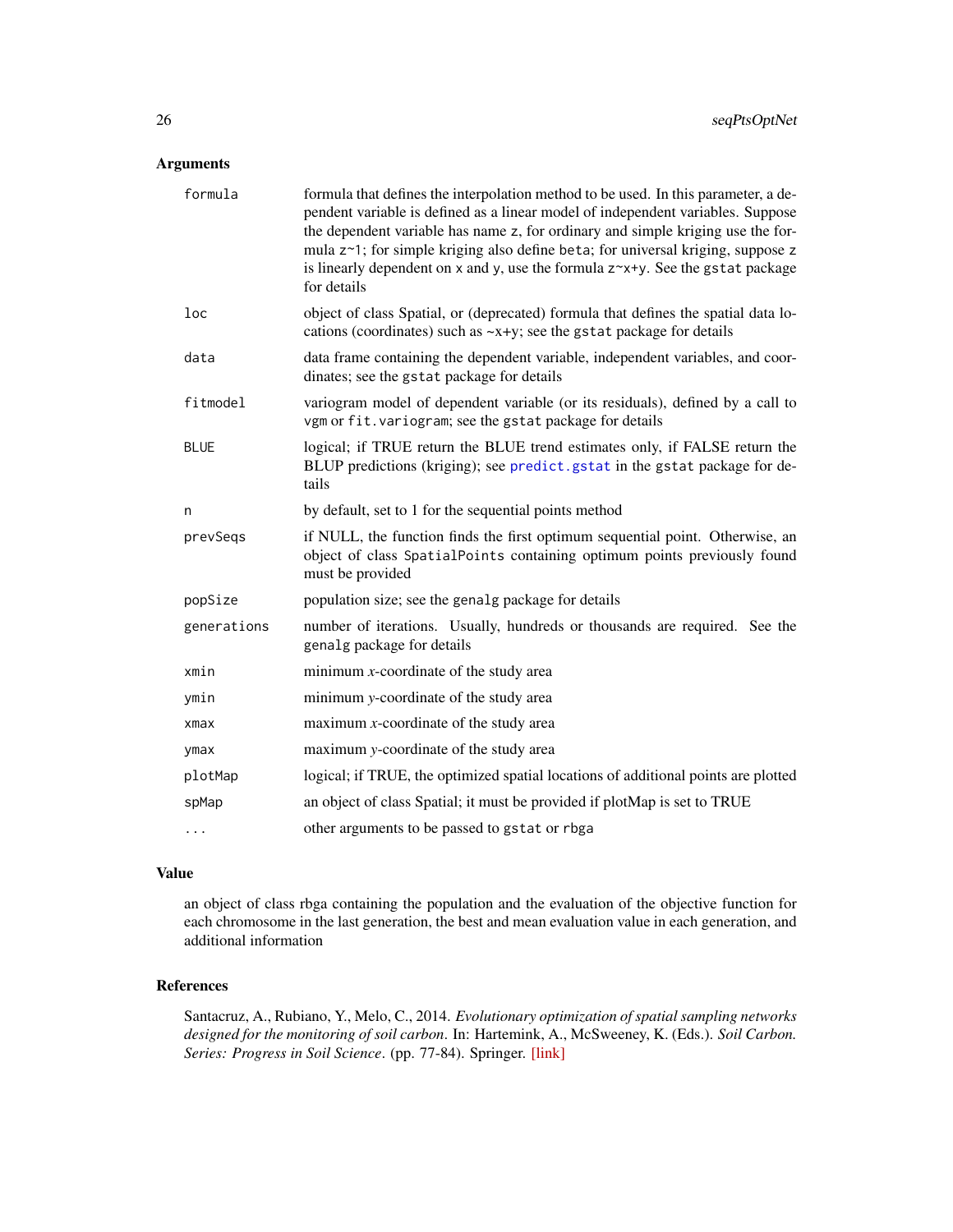# <span id="page-25-0"></span>Arguments

| formula     | formula that defines the interpolation method to be used. In this parameter, a de-<br>pendent variable is defined as a linear model of independent variables. Suppose<br>the dependent variable has name z, for ordinary and simple kriging use the for-<br>mula z~1; for simple kriging also define beta; for universal kriging, suppose z<br>is linearly dependent on $x$ and $y$ , use the formula $z^x + y$ . See the gstat package<br>for details |
|-------------|--------------------------------------------------------------------------------------------------------------------------------------------------------------------------------------------------------------------------------------------------------------------------------------------------------------------------------------------------------------------------------------------------------------------------------------------------------|
| loc         | object of class Spatial, or (deprecated) formula that defines the spatial data lo-<br>cations (coordinates) such as $-x+y$ ; see the gstat package for details                                                                                                                                                                                                                                                                                         |
| data        | data frame containing the dependent variable, independent variables, and coor-<br>dinates; see the gstat package for details                                                                                                                                                                                                                                                                                                                           |
| fitmodel    | variogram model of dependent variable (or its residuals), defined by a call to<br>vgm or fit. variogram; see the gstat package for details                                                                                                                                                                                                                                                                                                             |
| <b>BLUE</b> | logical; if TRUE return the BLUE trend estimates only, if FALSE return the<br>BLUP predictions (kriging); see predict gstat in the gstat package for de-<br>tails                                                                                                                                                                                                                                                                                      |
| n           | by default, set to 1 for the sequential points method                                                                                                                                                                                                                                                                                                                                                                                                  |
| prevSeqs    | if NULL, the function finds the first optimum sequential point. Otherwise, an<br>object of class SpatialPoints containing optimum points previously found<br>must be provided                                                                                                                                                                                                                                                                          |
| popSize     | population size; see the genalg package for details                                                                                                                                                                                                                                                                                                                                                                                                    |
| generations | number of iterations. Usually, hundreds or thousands are required. See the<br>genalg package for details                                                                                                                                                                                                                                                                                                                                               |
| xmin        | minimum $x$ -coordinate of the study area                                                                                                                                                                                                                                                                                                                                                                                                              |
| ymin        | minimum y-coordinate of the study area                                                                                                                                                                                                                                                                                                                                                                                                                 |
| xmax        | maximum $x$ -coordinate of the study area                                                                                                                                                                                                                                                                                                                                                                                                              |
| ymax        | maximum y-coordinate of the study area                                                                                                                                                                                                                                                                                                                                                                                                                 |
| plotMap     | logical; if TRUE, the optimized spatial locations of additional points are plotted                                                                                                                                                                                                                                                                                                                                                                     |
| spMap       | an object of class Spatial; it must be provided if plotMap is set to TRUE                                                                                                                                                                                                                                                                                                                                                                              |
|             | other arguments to be passed to gstat or rbga                                                                                                                                                                                                                                                                                                                                                                                                          |

# Value

an object of class rbga containing the population and the evaluation of the objective function for each chromosome in the last generation, the best and mean evaluation value in each generation, and additional information

# References

Santacruz, A., Rubiano, Y., Melo, C., 2014. *Evolutionary optimization of spatial sampling networks designed for the monitoring of soil carbon*. In: Hartemink, A., McSweeney, K. (Eds.). *Soil Carbon. Series: Progress in Soil Science*. (pp. 77-84). Springer. [\[link\]](http://link.springer.com/chapter/10.1007/978-3-319-04084-4_8)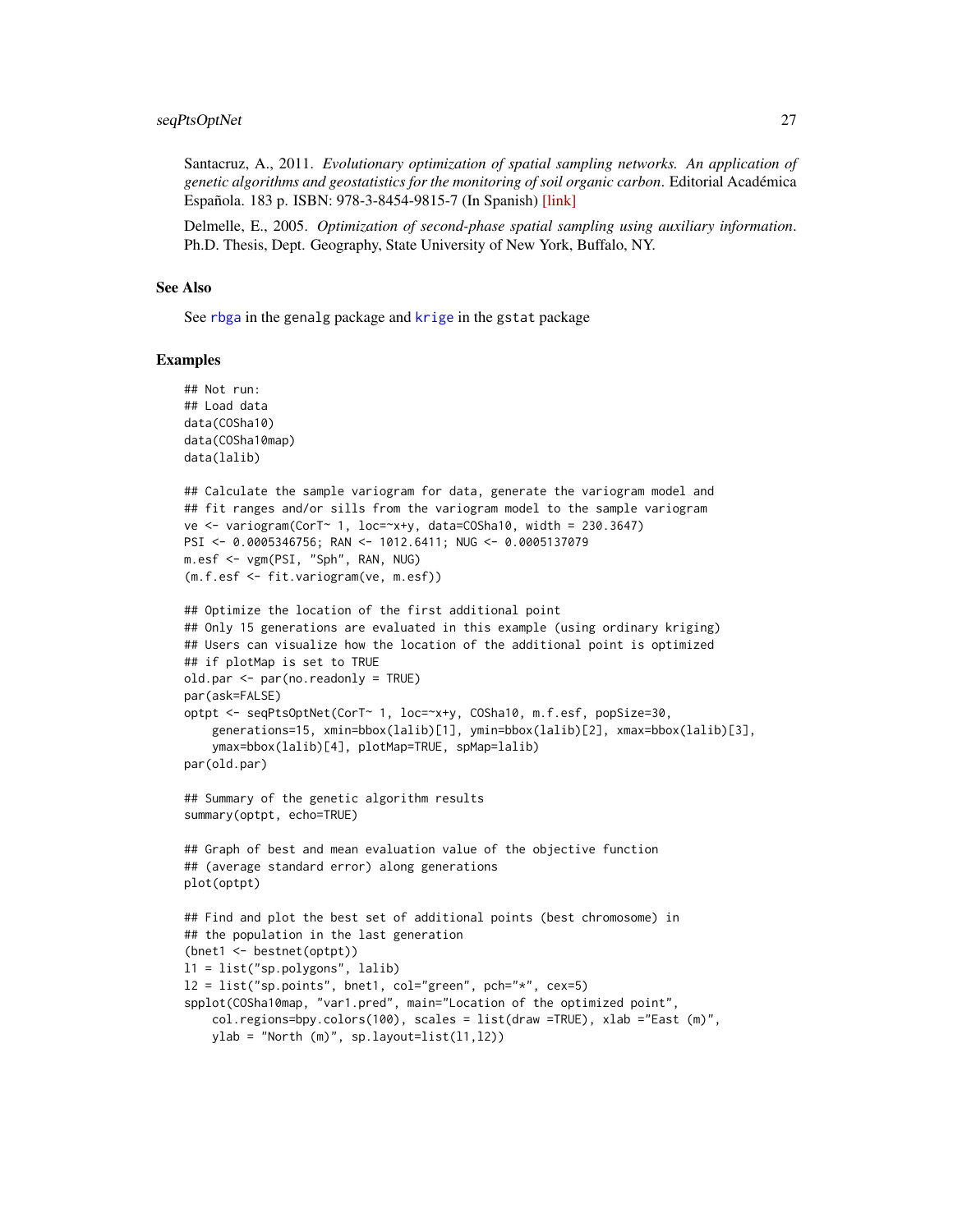<span id="page-26-0"></span>Santacruz, A., 2011. *Evolutionary optimization of spatial sampling networks. An application of genetic algorithms and geostatistics for the monitoring of soil organic carbon*. Editorial Académica Española. 183 p. ISBN: 978-3-8454-9815-7 (In Spanish) [\[link\]](http://www.amazon.com/Optimizaci�n-evolutiva-redes-espaciales-muestreo/dp/3845498153/)

Delmelle, E., 2005. *Optimization of second-phase spatial sampling using auxiliary information*. Ph.D. Thesis, Dept. Geography, State University of New York, Buffalo, NY.

#### See Also

See [rbga](#page-0-0) in the genalg package and [krige](#page-0-0) in the gstat package

```
## Not run:
## Load data
data(COSha10)
data(COSha10map)
data(lalib)
## Calculate the sample variogram for data, generate the variogram model and
## fit ranges and/or sills from the variogram model to the sample variogram
ve <- variogram(CorT~ 1, loc=~x+y, data=COSha10, width = 230.3647)
PSI <- 0.0005346756; RAN <- 1012.6411; NUG <- 0.0005137079
m.esf <- vgm(PSI, "Sph", RAN, NUG)
(m.f.esf <- fit.variogram(ve, m.esf))
## Optimize the location of the first additional point
## Only 15 generations are evaluated in this example (using ordinary kriging)
## Users can visualize how the location of the additional point is optimized
## if plotMap is set to TRUE
old.par <- par(no.readonly = TRUE)
par(ask=FALSE)
optpt <- seqPtsOptNet(CorT~ 1, loc=~x+y, COSha10, m.f.esf, popSize=30,
    generations=15, xmin=bbox(lalib)[1], ymin=bbox(lalib)[2], xmax=bbox(lalib)[3],
    ymax=bbox(lalib)[4], plotMap=TRUE, spMap=lalib)
par(old.par)
## Summary of the genetic algorithm results
summary(optpt, echo=TRUE)
## Graph of best and mean evaluation value of the objective function
## (average standard error) along generations
plot(optpt)
## Find and plot the best set of additional points (best chromosome) in
## the population in the last generation
(bnet1 <- bestnet(optpt))
l1 = list("sp.polygons", lalib)
l2 = list("sp.points", bent1, col="green", pch="*", cex=5)spplot(COSha10map, "var1.pred", main="Location of the optimized point",
    col.regions=bpy.colors(100), scales = list(draw =TRUE), xlab ="East (m)",
   ylab = "North (m)", sp.layout=list(11,12))
```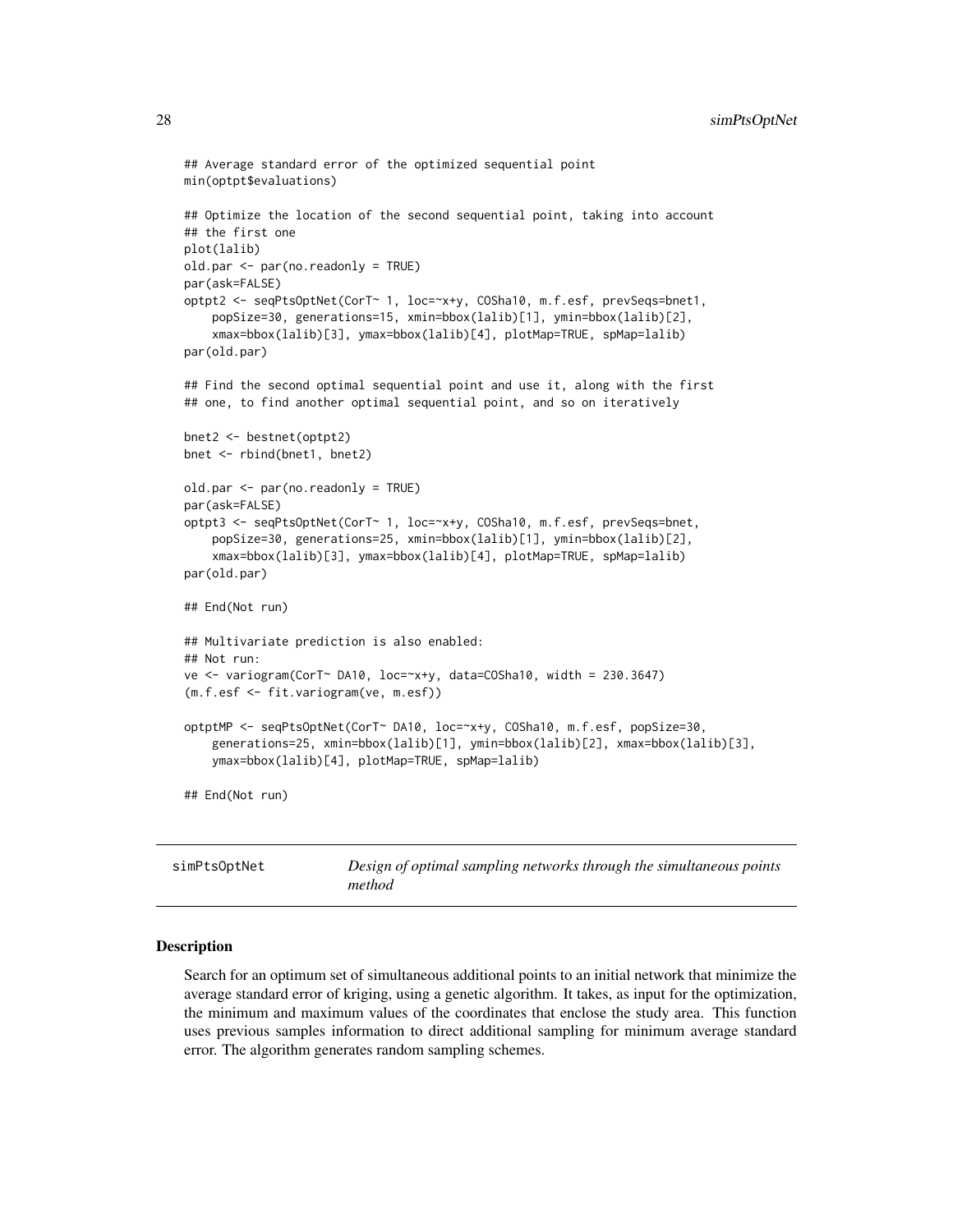```
## Average standard error of the optimized sequential point
 min(optpt$evaluations)
 ## Optimize the location of the second sequential point, taking into account
 ## the first one
 plot(lalib)
 old.par <- par(no.readonly = TRUE)
 par(ask=FALSE)
 optpt2 <- seqPtsOptNet(CorT~ 1, loc=~x+y, COSha10, m.f.esf, prevSeqs=bnet1,
     popSize=30, generations=15, xmin=bbox(lalib)[1], ymin=bbox(lalib)[2],
     xmax=bbox(lalib)[3], ymax=bbox(lalib)[4], plotMap=TRUE, spMap=lalib)
 par(old.par)
 ## Find the second optimal sequential point and use it, along with the first
 ## one, to find another optimal sequential point, and so on iteratively
 bnet2 <- bestnet(optpt2)
 bnet <- rbind(bnet1, bnet2)
 old.par <- par(no.readonly = TRUE)
 par(ask=FALSE)
 optpt3 <- seqPtsOptNet(CorT~ 1, loc=~x+y, COSha10, m.f.esf, prevSeqs=bnet,
     popSize=30, generations=25, xmin=bbox(lalib)[1], ymin=bbox(lalib)[2],
     xmax=bbox(lalib)[3], ymax=bbox(lalib)[4], plotMap=TRUE, spMap=lalib)
 par(old.par)
 ## End(Not run)
 ## Multivariate prediction is also enabled:
 ## Not run:
 ve <- variogram(CorT~ DA10, loc=~x+y, data=COSha10, width = 230.3647)
 (m.f.esf <- fit.variogram(ve, m.esf))
 optptMP <- seqPtsOptNet(CorT~ DA10, loc=~x+y, COSha10, m.f.esf, popSize=30,
     generations=25, xmin=bbox(lalib)[1], ymin=bbox(lalib)[2], xmax=bbox(lalib)[3],
     ymax=bbox(lalib)[4], plotMap=TRUE, spMap=lalib)
 ## End(Not run)
simPtsOptNet Design of optimal sampling networks through the simultaneous points
```
#### <span id="page-27-1"></span>Description

Search for an optimum set of simultaneous additional points to an initial network that minimize the average standard error of kriging, using a genetic algorithm. It takes, as input for the optimization, the minimum and maximum values of the coordinates that enclose the study area. This function uses previous samples information to direct additional sampling for minimum average standard error. The algorithm generates random sampling schemes.

*method*

<span id="page-27-0"></span>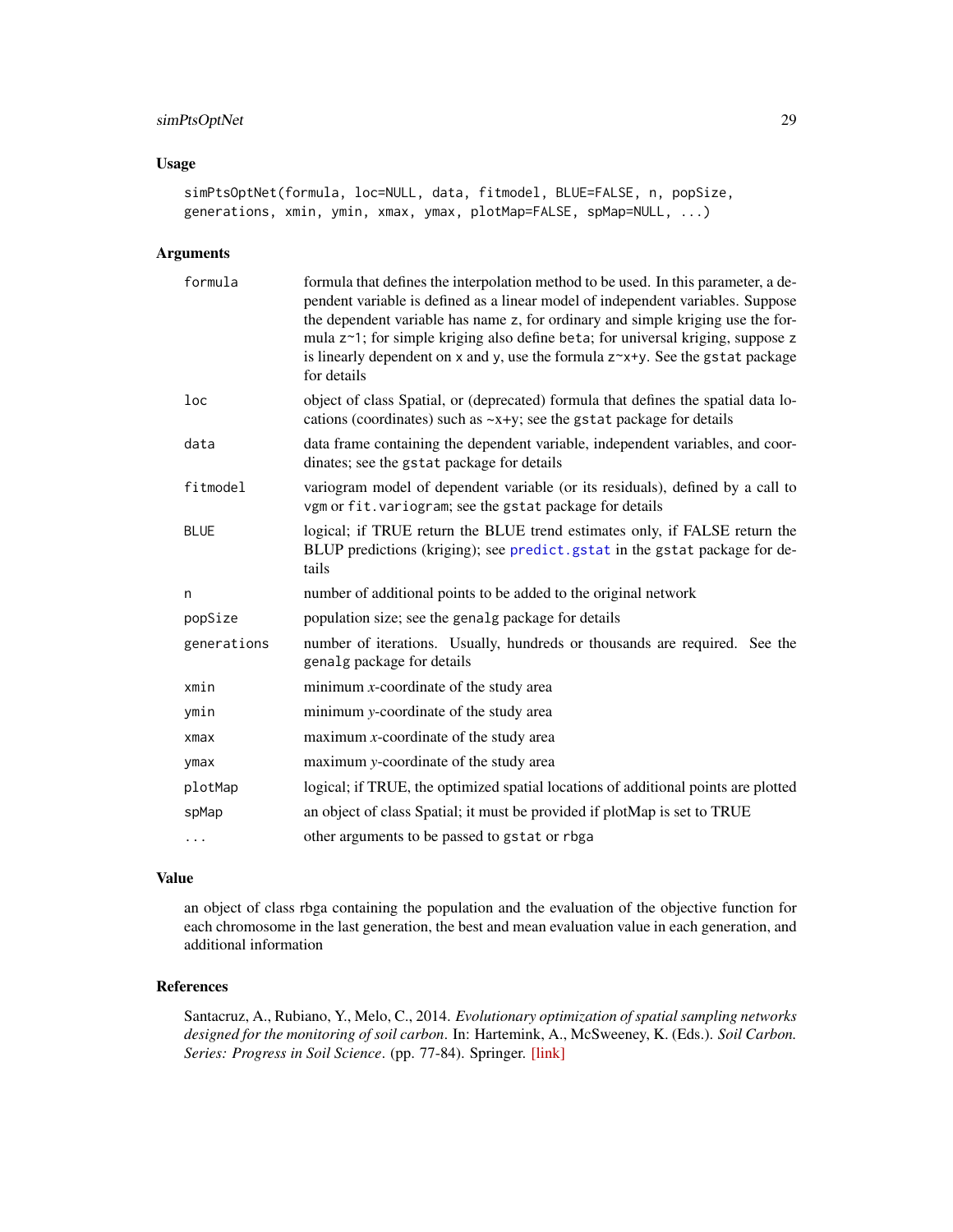# <span id="page-28-0"></span>simPtsOptNet 29

# Usage

simPtsOptNet(formula, loc=NULL, data, fitmodel, BLUE=FALSE, n, popSize, generations, xmin, ymin, xmax, ymax, plotMap=FALSE, spMap=NULL, ...)

#### Arguments

| formula     | formula that defines the interpolation method to be used. In this parameter, a de-<br>pendent variable is defined as a linear model of independent variables. Suppose<br>the dependent variable has name z, for ordinary and simple kriging use the for-<br>mula z~1; for simple kriging also define beta; for universal kriging, suppose z<br>is linearly dependent on $x$ and $y$ , use the formula $z^x + y$ . See the gstat package<br>for details |
|-------------|--------------------------------------------------------------------------------------------------------------------------------------------------------------------------------------------------------------------------------------------------------------------------------------------------------------------------------------------------------------------------------------------------------------------------------------------------------|
| loc         | object of class Spatial, or (deprecated) formula that defines the spatial data lo-<br>cations (coordinates) such as $-x+y$ ; see the gstat package for details                                                                                                                                                                                                                                                                                         |
| data        | data frame containing the dependent variable, independent variables, and coor-<br>dinates; see the gstat package for details                                                                                                                                                                                                                                                                                                                           |
| fitmodel    | variogram model of dependent variable (or its residuals), defined by a call to<br>vgm or fit. variogram; see the gstat package for details                                                                                                                                                                                                                                                                                                             |
| <b>BLUE</b> | logical; if TRUE return the BLUE trend estimates only, if FALSE return the<br>BLUP predictions (kriging); see predict.gstat in the gstat package for de-<br>tails                                                                                                                                                                                                                                                                                      |
| n           | number of additional points to be added to the original network                                                                                                                                                                                                                                                                                                                                                                                        |
| popSize     | population size; see the genalg package for details                                                                                                                                                                                                                                                                                                                                                                                                    |
| generations | number of iterations. Usually, hundreds or thousands are required. See the<br>genalg package for details                                                                                                                                                                                                                                                                                                                                               |
| xmin        | minimum $x$ -coordinate of the study area                                                                                                                                                                                                                                                                                                                                                                                                              |
| ymin        | minimum y-coordinate of the study area                                                                                                                                                                                                                                                                                                                                                                                                                 |
| $x$ ma $x$  | maximum $x$ -coordinate of the study area                                                                                                                                                                                                                                                                                                                                                                                                              |
| ymax        | maximum y-coordinate of the study area                                                                                                                                                                                                                                                                                                                                                                                                                 |
| plotMap     | logical; if TRUE, the optimized spatial locations of additional points are plotted                                                                                                                                                                                                                                                                                                                                                                     |
| spMap       | an object of class Spatial; it must be provided if plotMap is set to TRUE                                                                                                                                                                                                                                                                                                                                                                              |
| $\cdots$    | other arguments to be passed to gstat or rbga                                                                                                                                                                                                                                                                                                                                                                                                          |

#### Value

an object of class rbga containing the population and the evaluation of the objective function for each chromosome in the last generation, the best and mean evaluation value in each generation, and additional information

# References

Santacruz, A., Rubiano, Y., Melo, C., 2014. *Evolutionary optimization of spatial sampling networks designed for the monitoring of soil carbon*. In: Hartemink, A., McSweeney, K. (Eds.). *Soil Carbon. Series: Progress in Soil Science*. (pp. 77-84). Springer. [\[link\]](http://link.springer.com/chapter/10.1007/978-3-319-04084-4_8)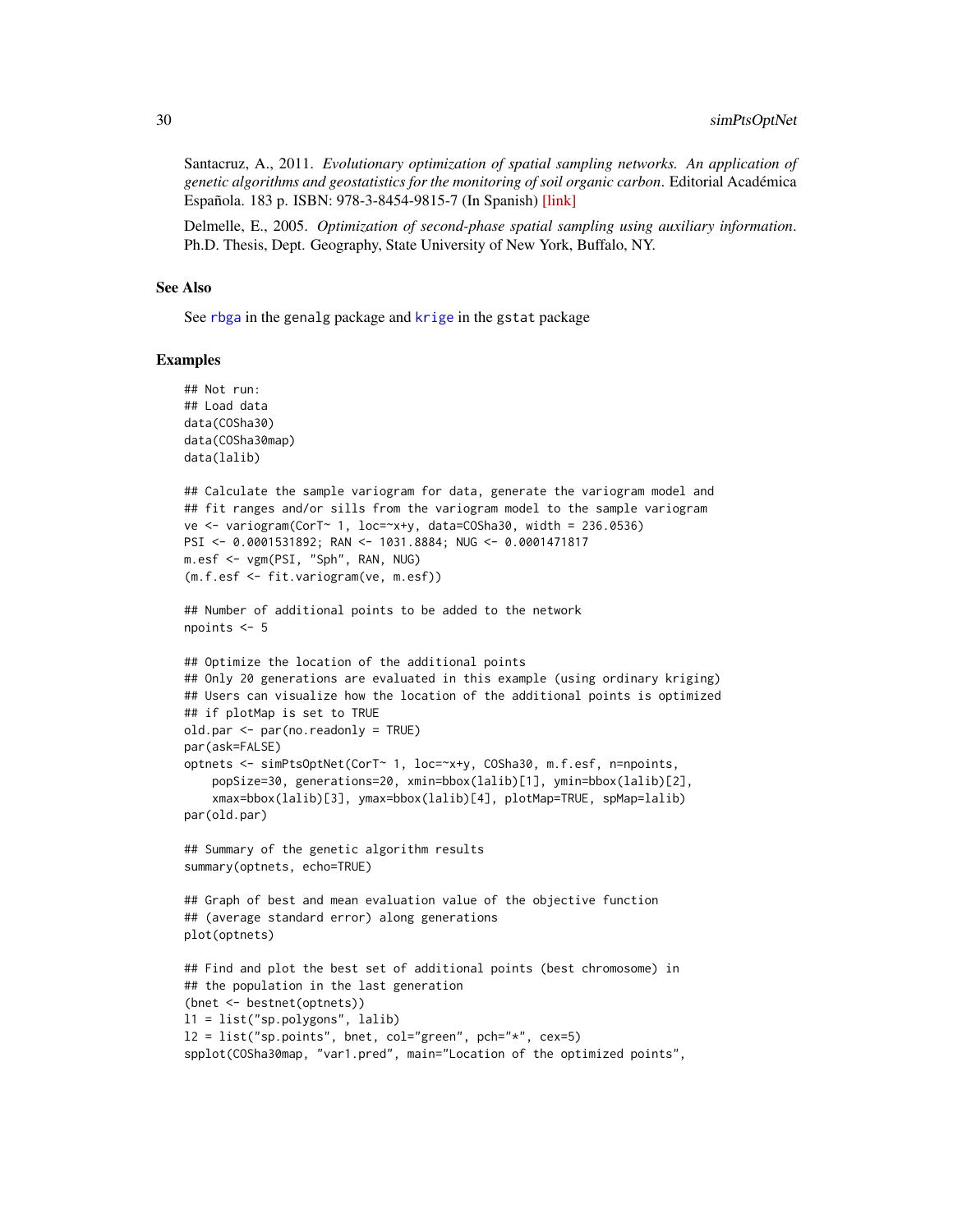Santacruz, A., 2011. *Evolutionary optimization of spatial sampling networks. An application of genetic algorithms and geostatistics for the monitoring of soil organic carbon*. Editorial Académica Española. 183 p. ISBN: 978-3-8454-9815-7 (In Spanish) [\[link\]](http://www.amazon.com/Optimizaci�n-evolutiva-redes-espaciales-muestreo/dp/3845498153/)

Delmelle, E., 2005. *Optimization of second-phase spatial sampling using auxiliary information*. Ph.D. Thesis, Dept. Geography, State University of New York, Buffalo, NY.

#### See Also

See [rbga](#page-0-0) in the genalg package and [krige](#page-0-0) in the gstat package

```
## Not run:
## Load data
data(COSha30)
data(COSha30map)
data(lalib)
## Calculate the sample variogram for data, generate the variogram model and
## fit ranges and/or sills from the variogram model to the sample variogram
ve <- variogram(CorT~ 1, loc=~x+y, data=COSha30, width = 236.0536)
PSI <- 0.0001531892; RAN <- 1031.8884; NUG <- 0.0001471817
m.esf <- vgm(PSI, "Sph", RAN, NUG)
(m.f.esf <- fit.variogram(ve, m.esf))
## Number of additional points to be added to the network
npoints <- 5
## Optimize the location of the additional points
## Only 20 generations are evaluated in this example (using ordinary kriging)
## Users can visualize how the location of the additional points is optimized
## if plotMap is set to TRUE
old.par <- par(no.readonly = TRUE)
par(ask=FALSE)
optnets <- simPtsOptNet(CorT~ 1, loc=~x+y, COSha30, m.f.esf, n=npoints,
    popSize=30, generations=20, xmin=bbox(lalib)[1], ymin=bbox(lalib)[2],
    xmax=bbox(lalib)[3], ymax=bbox(lalib)[4], plotMap=TRUE, spMap=lalib)
par(old.par)
## Summary of the genetic algorithm results
summary(optnets, echo=TRUE)
## Graph of best and mean evaluation value of the objective function
## (average standard error) along generations
plot(optnets)
## Find and plot the best set of additional points (best chromosome) in
## the population in the last generation
(bnet <- bestnet(optnets))
l1 = list("sp.polygons", lalib)
12 = list("sp.points", bnet, col="green", pch="*", cex=5)spplot(COSha30map, "var1.pred", main="Location of the optimized points",
```
<span id="page-29-0"></span>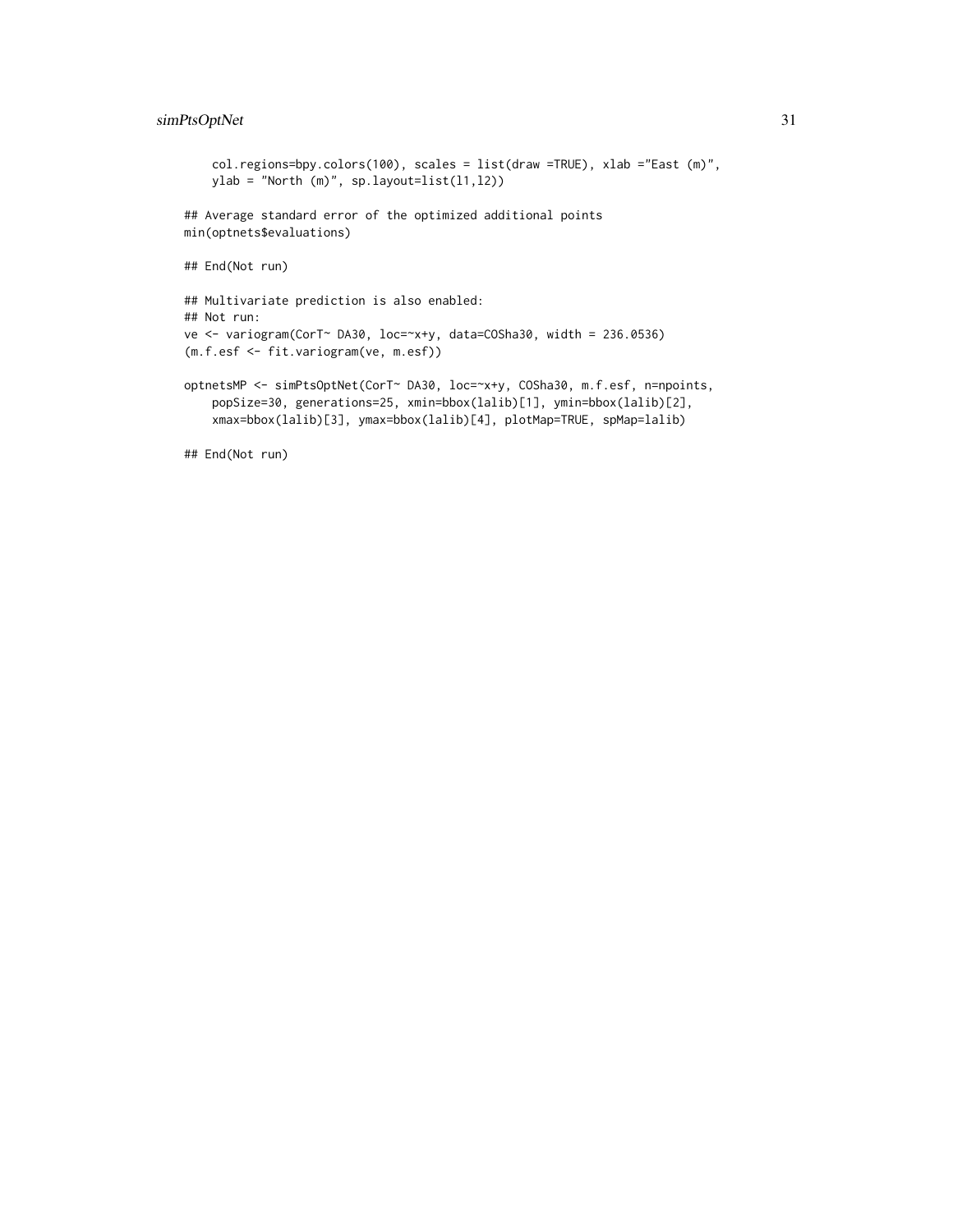# simPtsOptNet 31

```
col.regions=bpy.colors(100), scales = list(draw =TRUE), xlab ="East (m)",
   ylab = "North (m)", sp.layout=list(l1,l2))
## Average standard error of the optimized additional points
min(optnets$evaluations)
## End(Not run)
## Multivariate prediction is also enabled:
## Not run:
ve <- variogram(CorT~ DA30, loc=~x+y, data=COSha30, width = 236.0536)
(m.f.esf <- fit.variogram(ve, m.esf))
optnetsMP <- simPtsOptNet(CorT~ DA30, loc=~x+y, COSha30, m.f.esf, n=npoints,
    popSize=30, generations=25, xmin=bbox(lalib)[1], ymin=bbox(lalib)[2],
    xmax=bbox(lalib)[3], ymax=bbox(lalib)[4], plotMap=TRUE, spMap=lalib)
## End(Not run)
```